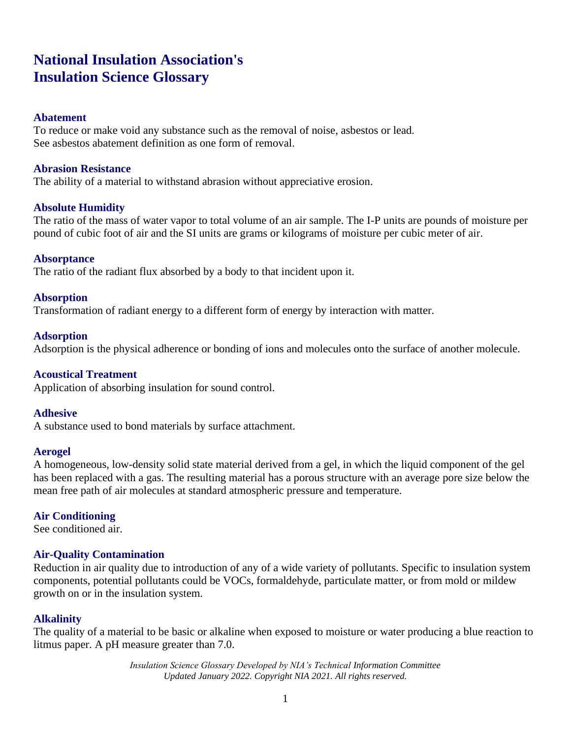# **National Insulation Association's Insulation Science Glossary**

### **Abatement**

To reduce or make void any substance such as the removal of noise, asbestos or lead. See asbestos abatement definition as one form of removal.

#### **Abrasion Resistance**

The ability of a material to withstand abrasion without appreciative erosion.

### **Absolute Humidity**

The ratio of the mass of water vapor to total volume of an air sample. The I-P units are pounds of moisture per pound of cubic foot of air and the SI units are grams or kilograms of moisture per cubic meter of air.

#### **Absorptance**

The ratio of the radiant flux absorbed by a body to that incident upon it.

#### **Absorption**

Transformation of radiant energy to a different form of energy by interaction with matter.

#### **Adsorption**

Adsorption is the physical adherence or bonding of ions and molecules onto the surface of another molecule.

#### **Acoustical Treatment**

Application of absorbing insulation for sound control.

#### **Adhesive**

A substance used to bond materials by surface attachment.

#### **Aerogel**

A homogeneous, low-density solid state material derived from a gel, in which the liquid component of the gel has been replaced with a gas. The resulting material has a porous structure with an average pore size below the mean free path of air molecules at standard atmospheric pressure and temperature.

### **Air Conditioning**

See conditioned air.

### **Air-Quality Contamination**

Reduction in air quality due to introduction of any of a wide variety of pollutants. Specific to insulation system components, potential pollutants could be VOCs, formaldehyde, particulate matter, or from mold or mildew growth on or in the insulation system.

### **Alkalinity**

The quality of a material to be basic or alkaline when exposed to moisture or water producing a blue reaction to litmus paper. A pH measure greater than 7.0.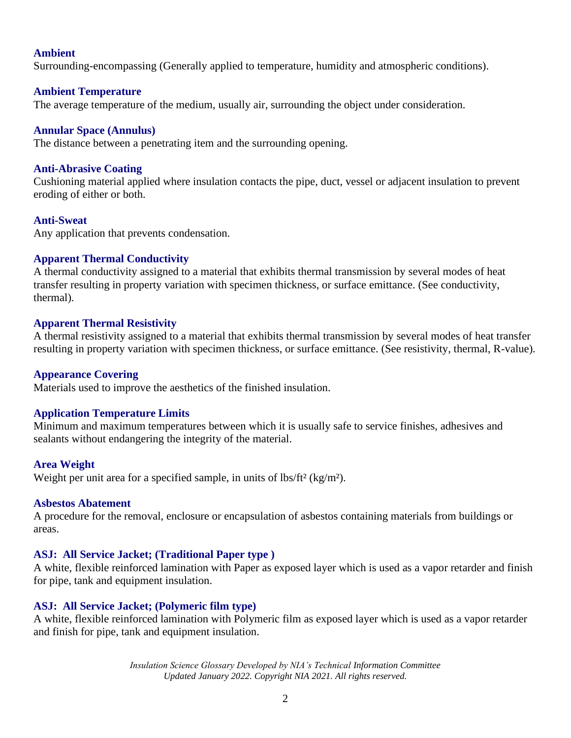#### **Ambient**

Surrounding-encompassing (Generally applied to temperature, humidity and atmospheric conditions).

### **Ambient Temperature**

The average temperature of the medium, usually air, surrounding the object under consideration.

#### **Annular Space (Annulus)**

The distance between a penetrating item and the surrounding opening.

#### **Anti-Abrasive Coating**

Cushioning material applied where insulation contacts the pipe, duct, vessel or adjacent insulation to prevent eroding of either or both.

### **Anti-Sweat**

Any application that prevents condensation.

#### **Apparent Thermal Conductivity**

A thermal conductivity assigned to a material that exhibits thermal transmission by several modes of heat transfer resulting in property variation with specimen thickness, or surface emittance. (See conductivity, thermal).

#### **Apparent Thermal Resistivity**

A thermal resistivity assigned to a material that exhibits thermal transmission by several modes of heat transfer resulting in property variation with specimen thickness, or surface emittance. (See resistivity, thermal, R-value).

#### **Appearance Covering**

Materials used to improve the aesthetics of the finished insulation.

#### **Application Temperature Limits**

Minimum and maximum temperatures between which it is usually safe to service finishes, adhesives and sealants without endangering the integrity of the material.

#### **Area Weight**

Weight per unit area for a specified sample, in units of lbs/ft<sup>2</sup> (kg/m<sup>2</sup>).

#### **Asbestos Abatement**

A procedure for the removal, enclosure or encapsulation of asbestos containing materials from buildings or areas.

#### **ASJ: All Service Jacket; (Traditional Paper type )**

A white, flexible reinforced lamination with Paper as exposed layer which is used as a vapor retarder and finish for pipe, tank and equipment insulation.

### **ASJ: All Service Jacket; (Polymeric film type)**

A white, flexible reinforced lamination with Polymeric film as exposed layer which is used as a vapor retarder and finish for pipe, tank and equipment insulation.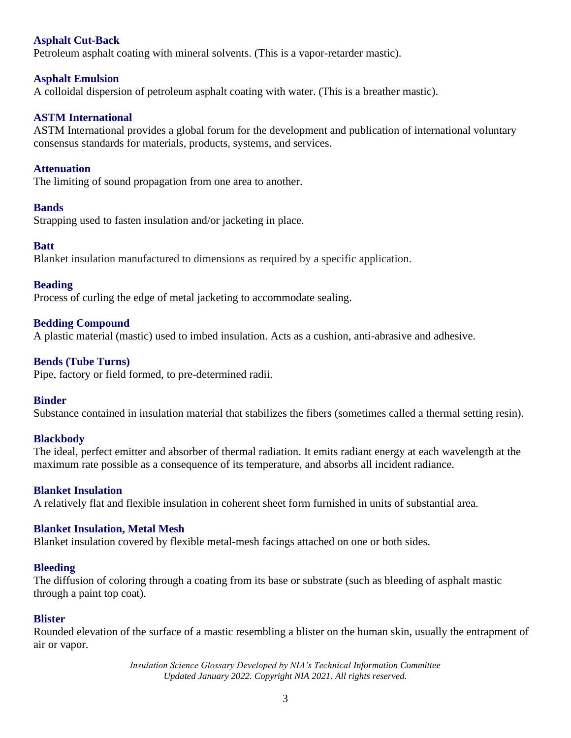## **Asphalt Cut-Back**

Petroleum asphalt coating with mineral solvents. (This is a vapor-retarder mastic).

## **Asphalt Emulsion**

A colloidal dispersion of petroleum asphalt coating with water. (This is a breather mastic).

## **ASTM International**

ASTM International provides a global forum for the development and publication of international voluntary consensus standards for materials, products, systems, and services.

## **Attenuation**

The limiting of sound propagation from one area to another.

### **Bands**

Strapping used to fasten insulation and/or jacketing in place.

## **Batt**

Blanket insulation manufactured to dimensions as required by a specific application.

## **Beading**

Process of curling the edge of metal jacketing to accommodate sealing.

## **Bedding Compound**

A plastic material (mastic) used to imbed insulation. Acts as a cushion, anti-abrasive and adhesive.

## **Bends (Tube Turns)**

Pipe, factory or field formed, to pre-determined radii.

### **Binder**

Substance contained in insulation material that stabilizes the fibers (sometimes called a thermal setting resin).

### **Blackbody**

The ideal, perfect emitter and absorber of thermal radiation. It emits radiant energy at each wavelength at the maximum rate possible as a consequence of its temperature, and absorbs all incident radiance.

### **Blanket Insulation**

A relatively flat and flexible insulation in coherent sheet form furnished in units of substantial area.

### **Blanket Insulation, Metal Mesh**

Blanket insulation covered by flexible metal-mesh facings attached on one or both sides.

### **Bleeding**

The diffusion of coloring through a coating from its base or substrate (such as bleeding of asphalt mastic through a paint top coat).

### **Blister**

Rounded elevation of the surface of a mastic resembling a blister on the human skin, usually the entrapment of air or vapor.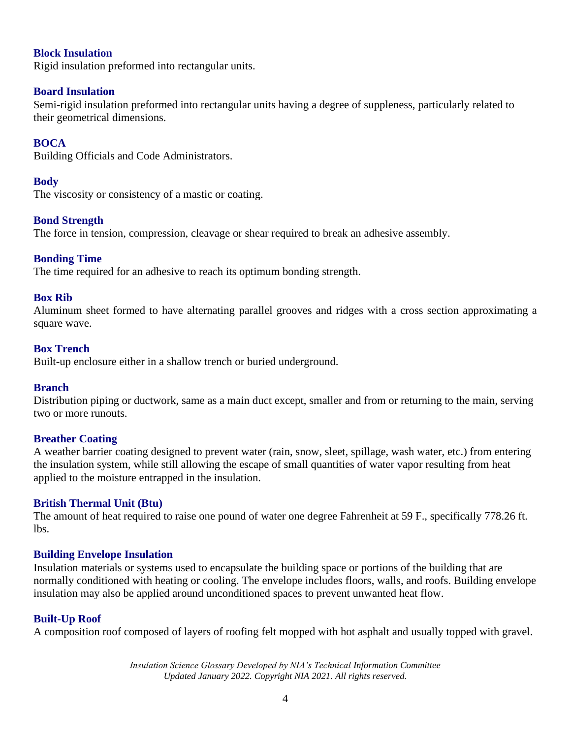### **Block Insulation**

Rigid insulation preformed into rectangular units.

#### **Board Insulation**

Semi-rigid insulation preformed into rectangular units having a degree of suppleness, particularly related to their geometrical dimensions.

### **BOCA**

Building Officials and Code Administrators.

### **Body**

The viscosity or consistency of a mastic or coating.

#### **Bond Strength**

The force in tension, compression, cleavage or shear required to break an adhesive assembly.

### **Bonding Time**

The time required for an adhesive to reach its optimum bonding strength.

#### **Box Rib**

Aluminum sheet formed to have alternating parallel grooves and ridges with a cross section approximating a square wave.

#### **Box Trench**

Built-up enclosure either in a shallow trench or buried underground.

#### **Branch**

Distribution piping or ductwork, same as a main duct except, smaller and from or returning to the main, serving two or more runouts.

### **Breather Coating**

A weather barrier coating designed to prevent water (rain, snow, sleet, spillage, wash water, etc.) from entering the insulation system, while still allowing the escape of small quantities of water vapor resulting from heat applied to the moisture entrapped in the insulation.

### **British Thermal Unit (Btu)**

The amount of heat required to raise one pound of water one degree Fahrenheit at 59 F., specifically 778.26 ft. lbs.

#### **Building Envelope Insulation**

Insulation materials or systems used to encapsulate the building space or portions of the building that are normally conditioned with heating or cooling. The envelope includes floors, walls, and roofs. Building envelope insulation may also be applied around unconditioned spaces to prevent unwanted heat flow.

### **Built-Up Roof**

A composition roof composed of layers of roofing felt mopped with hot asphalt and usually topped with gravel.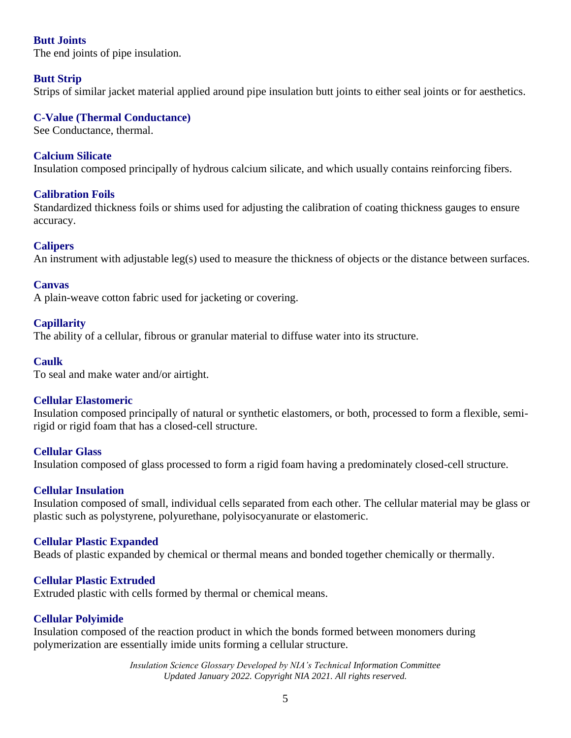## **Butt Joints**

The end joints of pipe insulation.

## **Butt Strip**

Strips of similar jacket material applied around pipe insulation butt joints to either seal joints or for aesthetics.

## **C-Value (Thermal Conductance)**

See Conductance, thermal.

### **Calcium Silicate**

Insulation composed principally of hydrous calcium silicate, and which usually contains reinforcing fibers.

### **Calibration Foils**

Standardized thickness foils or shims used for adjusting the calibration of coating thickness gauges to ensure accuracy.

### **Calipers**

An instrument with adjustable leg(s) used to measure the thickness of objects or the distance between surfaces.

### **Canvas**

A plain-weave cotton fabric used for jacketing or covering.

### **Capillarity**

The ability of a cellular, fibrous or granular material to diffuse water into its structure.

### **Caulk**

To seal and make water and/or airtight.

### **Cellular Elastomeric**

Insulation composed principally of natural or synthetic elastomers, or both, processed to form a flexible, semirigid or rigid foam that has a closed-cell structure.

#### **Cellular Glass**

Insulation composed of glass processed to form a rigid foam having a predominately closed-cell structure.

### **Cellular Insulation**

Insulation composed of small, individual cells separated from each other. The cellular material may be glass or plastic such as polystyrene, polyurethane, polyisocyanurate or elastomeric.

### **Cellular Plastic Expanded**

Beads of plastic expanded by chemical or thermal means and bonded together chemically or thermally.

### **Cellular Plastic Extruded**

Extruded plastic with cells formed by thermal or chemical means.

### **Cellular Polyimide**

Insulation composed of the reaction product in which the bonds formed between monomers during polymerization are essentially imide units forming a cellular structure.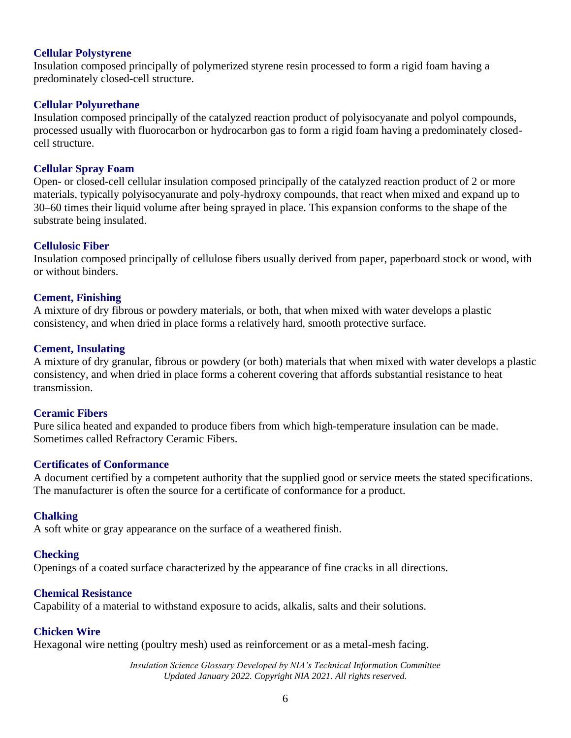#### **Cellular Polystyrene**

Insulation composed principally of polymerized styrene resin processed to form a rigid foam having a predominately closed-cell structure.

#### **Cellular Polyurethane**

Insulation composed principally of the catalyzed reaction product of polyisocyanate and polyol compounds, processed usually with fluorocarbon or hydrocarbon gas to form a rigid foam having a predominately closedcell structure.

#### **Cellular Spray Foam**

Open- or closed-cell cellular insulation composed principally of the catalyzed reaction product of 2 or more materials, typically polyisocyanurate and poly-hydroxy compounds, that react when mixed and expand up to 30–60 times their liquid volume after being sprayed in place. This expansion conforms to the shape of the substrate being insulated.

#### **Cellulosic Fiber**

Insulation composed principally of cellulose fibers usually derived from paper, paperboard stock or wood, with or without binders.

#### **Cement, Finishing**

A mixture of dry fibrous or powdery materials, or both, that when mixed with water develops a plastic consistency, and when dried in place forms a relatively hard, smooth protective surface.

#### **Cement, Insulating**

A mixture of dry granular, fibrous or powdery (or both) materials that when mixed with water develops a plastic consistency, and when dried in place forms a coherent covering that affords substantial resistance to heat transmission.

#### **Ceramic Fibers**

Pure silica heated and expanded to produce fibers from which high-temperature insulation can be made. Sometimes called Refractory Ceramic Fibers.

#### **Certificates of Conformance**

A document certified by a competent authority that the supplied good or service meets the stated specifications. The manufacturer is often the source for a certificate of conformance for a product.

### **Chalking**

A soft white or gray appearance on the surface of a weathered finish.

#### **Checking**

Openings of a coated surface characterized by the appearance of fine cracks in all directions.

#### **Chemical Resistance**

Capability of a material to withstand exposure to acids, alkalis, salts and their solutions.

### **Chicken Wire**

Hexagonal wire netting (poultry mesh) used as reinforcement or as a metal-mesh facing.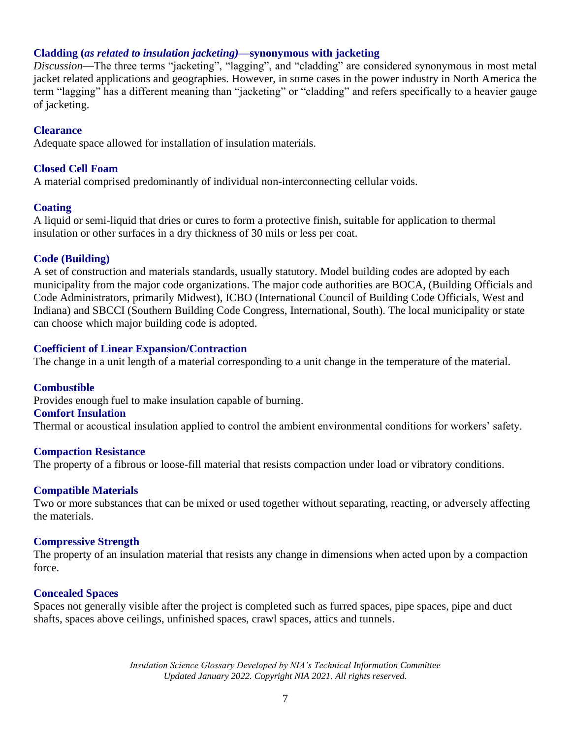### **Cladding (***as related to insulation jacketing)***—synonymous with jacketing**

*Discussion*—The three terms "jacketing", "lagging", and "cladding" are considered synonymous in most metal jacket related applications and geographies. However, in some cases in the power industry in North America the term "lagging" has a different meaning than "jacketing" or "cladding" and refers specifically to a heavier gauge of jacketing.

## **Clearance**

Adequate space allowed for installation of insulation materials.

## **Closed Cell Foam**

A material comprised predominantly of individual non-interconnecting cellular voids.

## **Coating**

A liquid or semi-liquid that dries or cures to form a protective finish, suitable for application to thermal insulation or other surfaces in a dry thickness of 30 mils or less per coat.

## **Code (Building)**

A set of construction and materials standards, usually statutory. Model building codes are adopted by each municipality from the major code organizations. The major code authorities are BOCA, (Building Officials and Code Administrators, primarily Midwest), ICBO (International Council of Building Code Officials, West and Indiana) and SBCCI (Southern Building Code Congress, International, South). The local municipality or state can choose which major building code is adopted.

## **Coefficient of Linear Expansion/Contraction**

The change in a unit length of a material corresponding to a unit change in the temperature of the material.

### **Combustible**

Provides enough fuel to make insulation capable of burning.

#### **Comfort Insulation**

Thermal or acoustical insulation applied to control the ambient environmental conditions for workers' safety.

### **Compaction Resistance**

The property of a fibrous or loose-fill material that resists compaction under load or vibratory conditions.

### **Compatible Materials**

Two or more substances that can be mixed or used together without separating, reacting, or adversely affecting the materials.

### **Compressive Strength**

The property of an insulation material that resists any change in dimensions when acted upon by a compaction force.

### **Concealed Spaces**

Spaces not generally visible after the project is completed such as furred spaces, pipe spaces, pipe and duct shafts, spaces above ceilings, unfinished spaces, crawl spaces, attics and tunnels.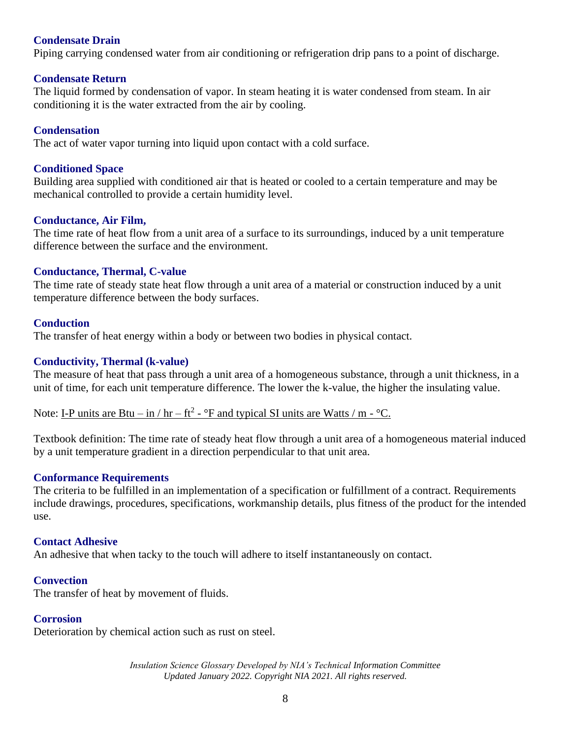## **Condensate Drain**

Piping carrying condensed water from air conditioning or refrigeration drip pans to a point of discharge.

#### **Condensate Return**

The liquid formed by condensation of vapor. In steam heating it is water condensed from steam. In air conditioning it is the water extracted from the air by cooling.

#### **Condensation**

The act of water vapor turning into liquid upon contact with a cold surface.

#### **Conditioned Space**

Building area supplied with conditioned air that is heated or cooled to a certain temperature and may be mechanical controlled to provide a certain humidity level.

#### **Conductance, Air Film,**

The time rate of heat flow from a unit area of a surface to its surroundings, induced by a unit temperature difference between the surface and the environment.

### **Conductance, Thermal, C-value**

The time rate of steady state heat flow through a unit area of a material or construction induced by a unit temperature difference between the body surfaces.

#### **Conduction**

The transfer of heat energy within a body or between two bodies in physical contact.

#### **Conductivity, Thermal (k-value)**

The measure of heat that pass through a unit area of a homogeneous substance, through a unit thickness, in a unit of time, for each unit temperature difference. The lower the k-value, the higher the insulating value.

Note: I-P units are Btu – in / hr – ft<sup>2</sup> -  $\rm{P}$  and typical SI units are Watts / m -  $\rm{P}C$ .

Textbook definition: The time rate of steady heat flow through a unit area of a homogeneous material induced by a unit temperature gradient in a direction perpendicular to that unit area.

#### **Conformance Requirements**

The criteria to be fulfilled in an implementation of a specification or fulfillment of a contract. Requirements include drawings, procedures, specifications, workmanship details, plus fitness of the product for the intended use.

#### **Contact Adhesive**

An adhesive that when tacky to the touch will adhere to itself instantaneously on contact.

#### **Convection**

The transfer of heat by movement of fluids.

#### **Corrosion**

Deterioration by chemical action such as rust on steel.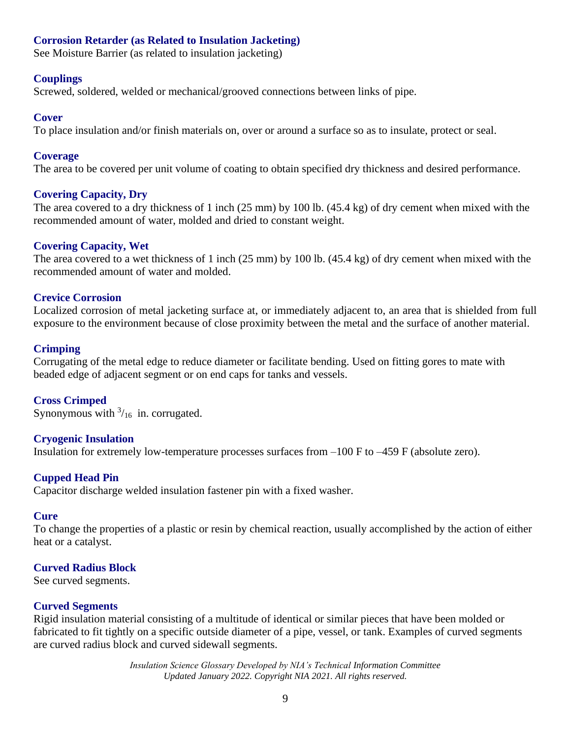## **Corrosion Retarder (as Related to Insulation Jacketing)**

See Moisture Barrier (as related to insulation jacketing)

#### **Couplings**

Screwed, soldered, welded or mechanical/grooved connections between links of pipe.

#### **Cover**

To place insulation and/or finish materials on, over or around a surface so as to insulate, protect or seal.

#### **Coverage**

The area to be covered per unit volume of coating to obtain specified dry thickness and desired performance.

#### **Covering Capacity, Dry**

The area covered to a dry thickness of 1 inch (25 mm) by 100 lb. (45.4 kg) of dry cement when mixed with the recommended amount of water, molded and dried to constant weight.

#### **Covering Capacity, Wet**

The area covered to a wet thickness of 1 inch (25 mm) by 100 lb. (45.4 kg) of dry cement when mixed with the recommended amount of water and molded.

#### **Crevice Corrosion**

Localized corrosion of metal jacketing surface at, or immediately adjacent to, an area that is shielded from full exposure to the environment because of close proximity between the metal and the surface of another material.

#### **Crimping**

Corrugating of the metal edge to reduce diameter or facilitate bending. Used on fitting gores to mate with beaded edge of adjacent segment or on end caps for tanks and vessels.

### **Cross Crimped**

Synonymous with  $\frac{3}{16}$  in. corrugated.

### **Cryogenic Insulation**

Insulation for extremely low-temperature processes surfaces from –100 F to –459 F (absolute zero).

#### **Cupped Head Pin**

Capacitor discharge welded insulation fastener pin with a fixed washer.

#### **Cure**

To change the properties of a plastic or resin by chemical reaction, usually accomplished by the action of either heat or a catalyst.

#### **Curved Radius Block**

See curved segments.

#### **Curved Segments**

Rigid insulation material consisting of a multitude of identical or similar pieces that have been molded or fabricated to fit tightly on a specific outside diameter of a pipe, vessel, or tank. Examples of curved segments are curved radius block and curved sidewall segments.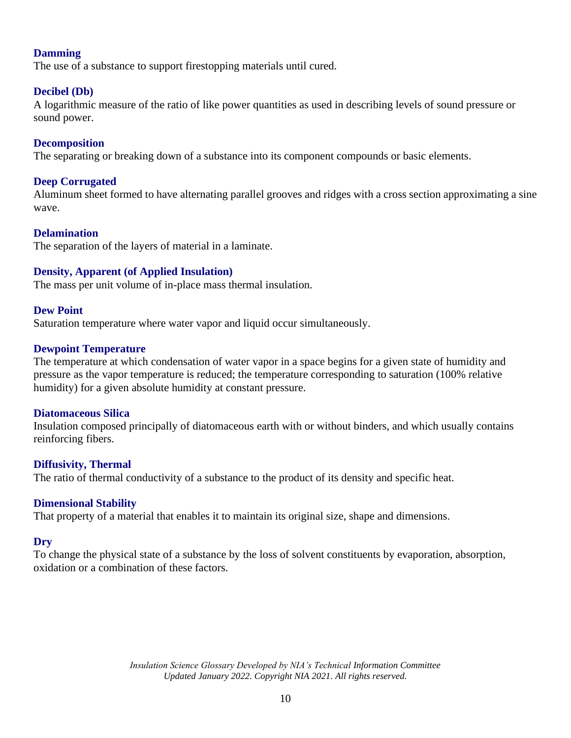## **Damming**

The use of a substance to support firestopping materials until cured.

## **Decibel (Db)**

A logarithmic measure of the ratio of like power quantities as used in describing levels of sound pressure or sound power.

### **Decomposition**

The separating or breaking down of a substance into its component compounds or basic elements.

### **Deep Corrugated**

Aluminum sheet formed to have alternating parallel grooves and ridges with a cross section approximating a sine wave.

### **Delamination**

The separation of the layers of material in a laminate.

## **Density, Apparent (of Applied Insulation)**

The mass per unit volume of in-place mass thermal insulation.

### **Dew Point**

Saturation temperature where water vapor and liquid occur simultaneously.

### **Dewpoint Temperature**

The temperature at which condensation of water vapor in a space begins for a given state of humidity and pressure as the vapor temperature is reduced; the temperature corresponding to saturation (100% relative humidity) for a given absolute humidity at constant pressure.

#### **Diatomaceous Silica**

Insulation composed principally of diatomaceous earth with or without binders, and which usually contains reinforcing fibers.

### **Diffusivity, Thermal**

The ratio of thermal conductivity of a substance to the product of its density and specific heat.

### **Dimensional Stability**

That property of a material that enables it to maintain its original size, shape and dimensions.

### **Dry**

To change the physical state of a substance by the loss of solvent constituents by evaporation, absorption, oxidation or a combination of these factors.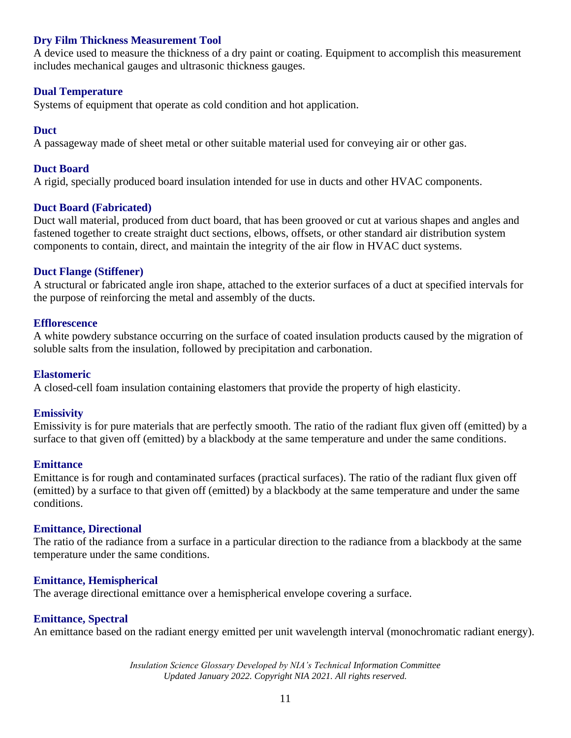### **Dry Film Thickness Measurement Tool**

A device used to measure the thickness of a dry paint or coating. Equipment to accomplish this measurement includes mechanical gauges and ultrasonic thickness gauges.

#### **Dual Temperature**

Systems of equipment that operate as cold condition and hot application.

#### **Duct**

A passageway made of sheet metal or other suitable material used for conveying air or other gas.

#### **Duct Board**

A rigid, specially produced board insulation intended for use in ducts and other HVAC components.

#### **Duct Board (Fabricated)**

Duct wall material, produced from duct board, that has been grooved or cut at various shapes and angles and fastened together to create straight duct sections, elbows, offsets, or other standard air distribution system components to contain, direct, and maintain the integrity of the air flow in HVAC duct systems.

### **Duct Flange (Stiffener)**

A structural or fabricated angle iron shape, attached to the exterior surfaces of a duct at specified intervals for the purpose of reinforcing the metal and assembly of the ducts.

#### **Efflorescence**

A white powdery substance occurring on the surface of coated insulation products caused by the migration of soluble salts from the insulation, followed by precipitation and carbonation.

#### **Elastomeric**

A closed-cell foam insulation containing elastomers that provide the property of high elasticity.

#### **Emissivity**

Emissivity is for pure materials that are perfectly smooth. The ratio of the radiant flux given off (emitted) by a surface to that given off (emitted) by a blackbody at the same temperature and under the same conditions.

#### **Emittance**

Emittance is for rough and contaminated surfaces (practical surfaces). The ratio of the radiant flux given off (emitted) by a surface to that given off (emitted) by a blackbody at the same temperature and under the same conditions.

### **Emittance, Directional**

The ratio of the radiance from a surface in a particular direction to the radiance from a blackbody at the same temperature under the same conditions.

#### **Emittance, Hemispherical**

The average directional emittance over a hemispherical envelope covering a surface.

#### **Emittance, Spectral**

An emittance based on the radiant energy emitted per unit wavelength interval (monochromatic radiant energy).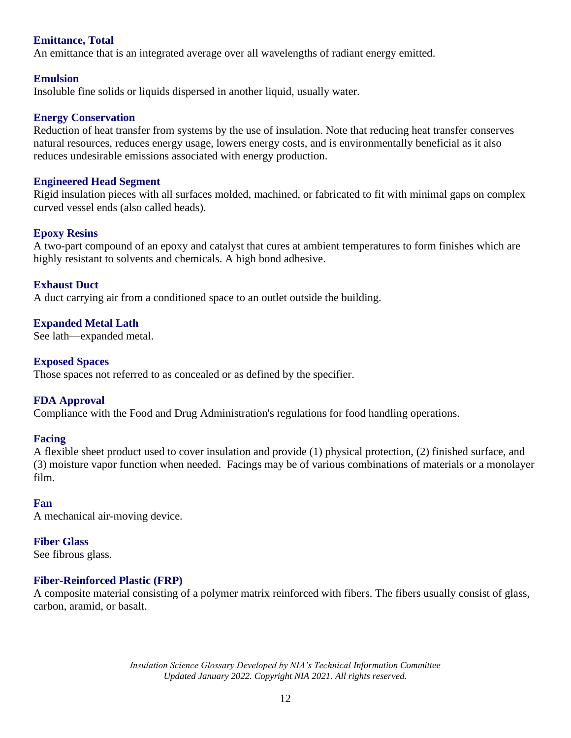## **Emittance, Total**

An emittance that is an integrated average over all wavelengths of radiant energy emitted.

#### **Emulsion**

Insoluble fine solids or liquids dispersed in another liquid, usually water.

#### **Energy Conservation**

Reduction of heat transfer from systems by the use of insulation. Note that reducing heat transfer conserves natural resources, reduces energy usage, lowers energy costs, and is environmentally beneficial as it also reduces undesirable emissions associated with energy production.

#### **Engineered Head Segment**

Rigid insulation pieces with all surfaces molded, machined, or fabricated to fit with minimal gaps on complex curved vessel ends (also called heads).

#### **Epoxy Resins**

A two-part compound of an epoxy and catalyst that cures at ambient temperatures to form finishes which are highly resistant to solvents and chemicals. A high bond adhesive.

## **Exhaust Duct**

A duct carrying air from a conditioned space to an outlet outside the building.

### **Expanded Metal Lath**

See lath—expanded metal.

#### **Exposed Spaces**

Those spaces not referred to as concealed or as defined by the specifier.

### **FDA Approval**

Compliance with the Food and Drug Administration's regulations for food handling operations.

#### **Facing**

A flexible sheet product used to cover insulation and provide (1) physical protection, (2) finished surface, and (3) moisture vapor function when needed. Facings may be of various combinations of materials or a monolayer film.

#### **Fan**

A mechanical air-moving device.

#### **Fiber Glass**

See fibrous glass.

### **Fiber-Reinforced Plastic (FRP)**

A composite material consisting of a polymer matrix reinforced with fibers. The fibers usually consist of glass, carbon, aramid, or basalt.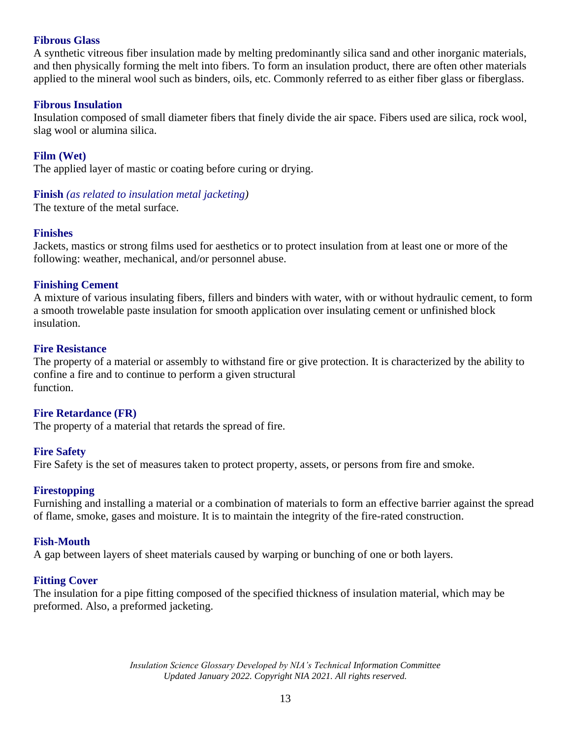### **Fibrous Glass**

A synthetic vitreous fiber insulation made by melting predominantly silica sand and other inorganic materials, and then physically forming the melt into fibers. To form an insulation product, there are often other materials applied to the mineral wool such as binders, oils, etc. Commonly referred to as either fiber glass or fiberglass.

#### **Fibrous Insulation**

Insulation composed of small diameter fibers that finely divide the air space. Fibers used are silica, rock wool, slag wool or alumina silica.

**Film (Wet)**

The applied layer of mastic or coating before curing or drying.

#### **Finish** *(as related to insulation metal jacketing)*

The texture of the metal surface.

#### **Finishes**

Jackets, mastics or strong films used for aesthetics or to protect insulation from at least one or more of the following: weather, mechanical, and/or personnel abuse.

#### **Finishing Cement**

A mixture of various insulating fibers, fillers and binders with water, with or without hydraulic cement, to form a smooth trowelable paste insulation for smooth application over insulating cement or unfinished block insulation.

#### **Fire Resistance**

The property of a material or assembly to withstand fire or give protection. It is characterized by the ability to confine a fire and to continue to perform a given structural function.

### **Fire Retardance (FR)**

The property of a material that retards the spread of fire.

#### **Fire Safety**

Fire Safety is the set of measures taken to protect property, assets, or persons from fire and smoke.

#### **Firestopping**

Furnishing and installing a material or a combination of materials to form an effective barrier against the spread of flame, smoke, gases and moisture. It is to maintain the integrity of the fire-rated construction.

#### **Fish-Mouth**

A gap between layers of sheet materials caused by warping or bunching of one or both layers.

### **Fitting Cover**

The insulation for a pipe fitting composed of the specified thickness of insulation material, which may be preformed. Also, a preformed jacketing.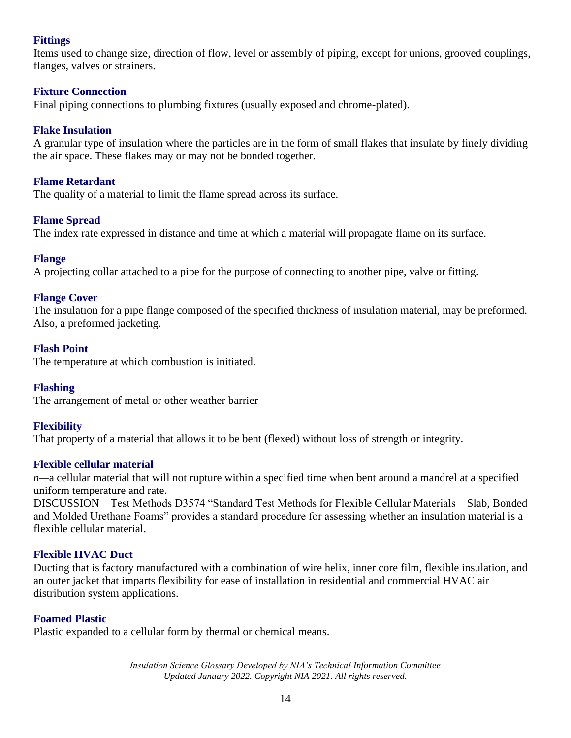## **Fittings**

Items used to change size, direction of flow, level or assembly of piping, except for unions, grooved couplings, flanges, valves or strainers.

## **Fixture Connection**

Final piping connections to plumbing fixtures (usually exposed and chrome-plated).

## **Flake Insulation**

A granular type of insulation where the particles are in the form of small flakes that insulate by finely dividing the air space. These flakes may or may not be bonded together.

## **Flame Retardant**

The quality of a material to limit the flame spread across its surface.

## **Flame Spread**

The index rate expressed in distance and time at which a material will propagate flame on its surface.

### **Flange**

A projecting collar attached to a pipe for the purpose of connecting to another pipe, valve or fitting.

## **Flange Cover**

The insulation for a pipe flange composed of the specified thickness of insulation material, may be preformed. Also, a preformed jacketing.

## **Flash Point**

The temperature at which combustion is initiated.

### **Flashing**

The arrangement of metal or other weather barrier

## **Flexibility**

That property of a material that allows it to be bent (flexed) without loss of strength or integrity.

### **Flexible cellular material**

*n—*a cellular material that will not rupture within a specified time when bent around a mandrel at a specified uniform temperature and rate.

DISCUSSION—Test Methods D3574 "Standard Test Methods for Flexible Cellular Materials – Slab, Bonded and Molded Urethane Foams" provides a standard procedure for assessing whether an insulation material is a flexible cellular material.

### **Flexible HVAC Duct**

Ducting that is factory manufactured with a combination of wire helix, inner core film, flexible insulation, and an outer jacket that imparts flexibility for ease of installation in residential and commercial HVAC air distribution system applications.

### **Foamed Plastic**

Plastic expanded to a cellular form by thermal or chemical means.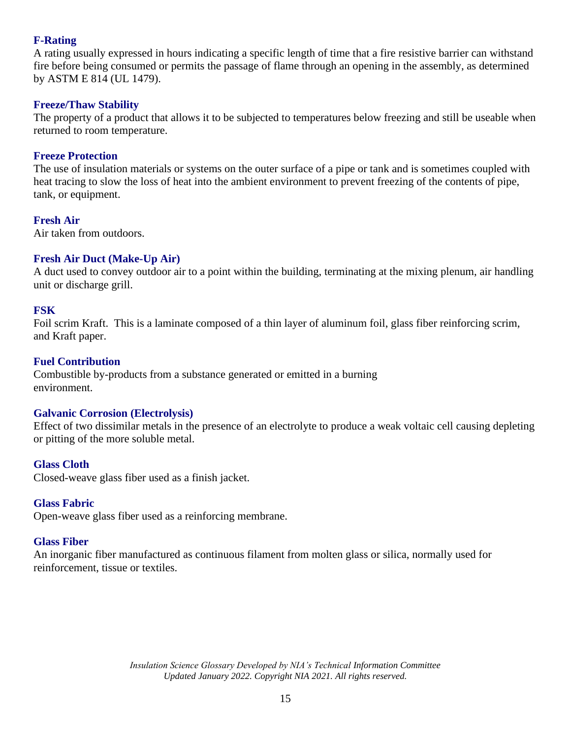## **F-Rating**

A rating usually expressed in hours indicating a specific length of time that a fire resistive barrier can withstand fire before being consumed or permits the passage of flame through an opening in the assembly, as determined by ASTM E 814 (UL 1479).

## **Freeze/Thaw Stability**

The property of a product that allows it to be subjected to temperatures below freezing and still be useable when returned to room temperature.

## **Freeze Protection**

The use of insulation materials or systems on the outer surface of a pipe or tank and is sometimes coupled with heat tracing to slow the loss of heat into the ambient environment to prevent freezing of the contents of pipe, tank, or equipment.

## **Fresh Air**

Air taken from outdoors.

## **Fresh Air Duct (Make-Up Air)**

A duct used to convey outdoor air to a point within the building, terminating at the mixing plenum, air handling unit or discharge grill.

## **FSK**

Foil scrim Kraft. This is a laminate composed of a thin layer of aluminum foil, glass fiber reinforcing scrim, and Kraft paper.

## **Fuel Contribution**

Combustible by-products from a substance generated or emitted in a burning environment.

## **Galvanic Corrosion (Electrolysis)**

Effect of two dissimilar metals in the presence of an electrolyte to produce a weak voltaic cell causing depleting or pitting of the more soluble metal.

## **Glass Cloth**

Closed-weave glass fiber used as a finish jacket.

## **Glass Fabric**

Open-weave glass fiber used as a reinforcing membrane.

### **Glass Fiber**

An inorganic fiber manufactured as continuous filament from molten glass or silica, normally used for reinforcement, tissue or textiles.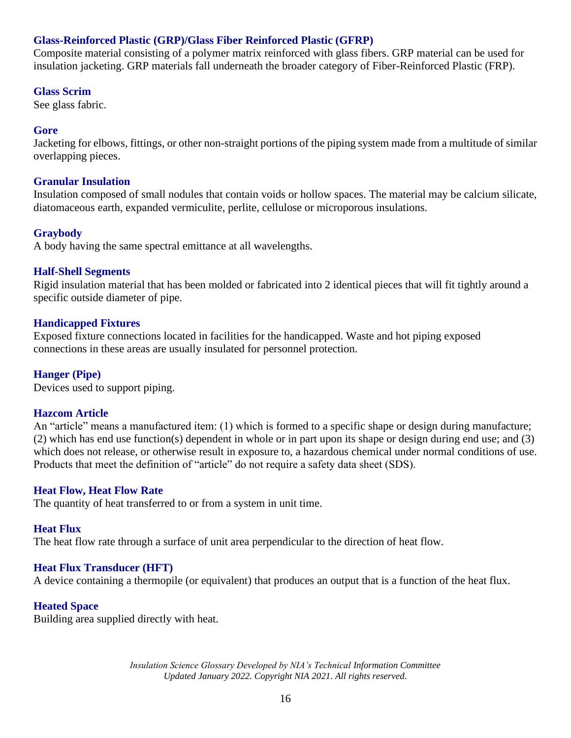## **Glass-Reinforced Plastic (GRP)/Glass Fiber Reinforced Plastic (GFRP)**

Composite material consisting of a polymer matrix reinforced with glass fibers. GRP material can be used for insulation jacketing. GRP materials fall underneath the broader category of Fiber-Reinforced Plastic (FRP).

### **Glass Scrim**

See glass fabric.

## **Gore**

Jacketing for elbows, fittings, or other non-straight portions of the piping system made from a multitude of similar overlapping pieces.

### **Granular Insulation**

Insulation composed of small nodules that contain voids or hollow spaces. The material may be calcium silicate, diatomaceous earth, expanded vermiculite, perlite, cellulose or microporous insulations.

## **Graybody**

A body having the same spectral emittance at all wavelengths.

## **Half-Shell Segments**

Rigid insulation material that has been molded or fabricated into 2 identical pieces that will fit tightly around a specific outside diameter of pipe.

## **Handicapped Fixtures**

Exposed fixture connections located in facilities for the handicapped. Waste and hot piping exposed connections in these areas are usually insulated for personnel protection.

## **Hanger (Pipe)**

Devices used to support piping.

### **Hazcom Article**

An "article" means a manufactured item: (1) which is formed to a specific shape or design during manufacture; (2) which has end use function(s) dependent in whole or in part upon its shape or design during end use; and (3) which does not release, or otherwise result in exposure to, a hazardous chemical under normal conditions of use. Products that meet the definition of "article" do not require a safety data sheet (SDS).

### **Heat Flow, Heat Flow Rate**

The quantity of heat transferred to or from a system in unit time.

### **Heat Flux**

The heat flow rate through a surface of unit area perpendicular to the direction of heat flow.

### **Heat Flux Transducer (HFT)**

A device containing a thermopile (or equivalent) that produces an output that is a function of the heat flux.

### **Heated Space**

Building area supplied directly with heat.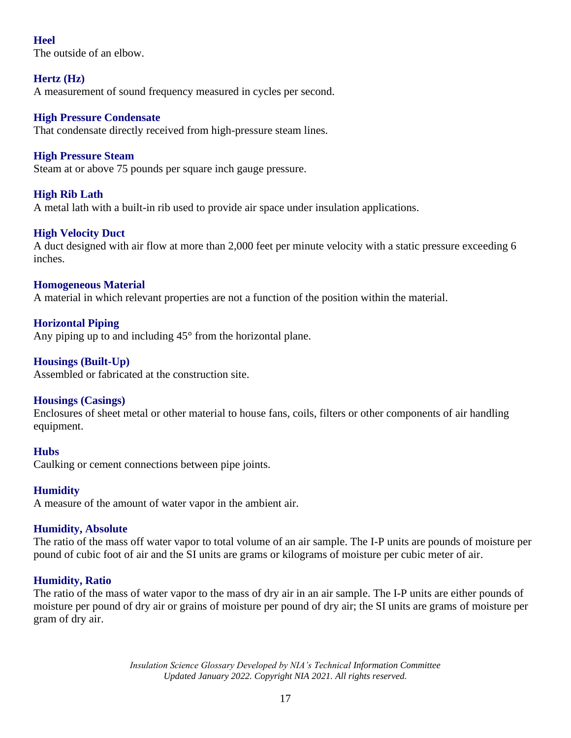## **Heel**

The outside of an elbow.

## **Hertz (Hz)**

A measurement of sound frequency measured in cycles per second.

## **High Pressure Condensate**

That condensate directly received from high-pressure steam lines.

## **High Pressure Steam**

Steam at or above 75 pounds per square inch gauge pressure.

## **High Rib Lath**

A metal lath with a built-in rib used to provide air space under insulation applications.

## **High Velocity Duct**

A duct designed with air flow at more than 2,000 feet per minute velocity with a static pressure exceeding 6 inches.

## **Homogeneous Material**

A material in which relevant properties are not a function of the position within the material.

## **Horizontal Piping**

Any piping up to and including 45° from the horizontal plane.

## **Housings (Built-Up)**

Assembled or fabricated at the construction site.

## **Housings (Casings)**

Enclosures of sheet metal or other material to house fans, coils, filters or other components of air handling equipment.

## **Hubs**

Caulking or cement connections between pipe joints.

## **Humidity**

A measure of the amount of water vapor in the ambient air.

## **Humidity, Absolute**

The ratio of the mass off water vapor to total volume of an air sample. The I-P units are pounds of moisture per pound of cubic foot of air and the SI units are grams or kilograms of moisture per cubic meter of air.

## **Humidity, Ratio**

The ratio of the mass of water vapor to the mass of dry air in an air sample. The I-P units are either pounds of moisture per pound of dry air or grains of moisture per pound of dry air; the SI units are grams of moisture per gram of dry air.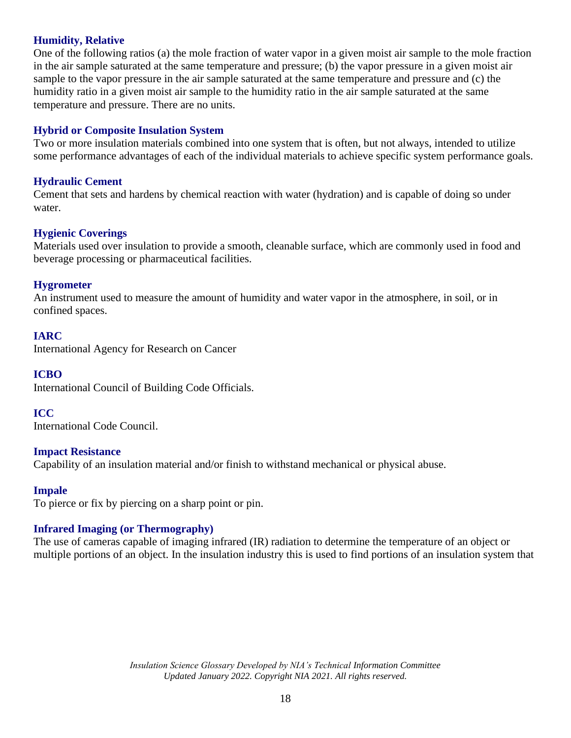## **Humidity, Relative**

One of the following ratios (a) the mole fraction of water vapor in a given moist air sample to the mole fraction in the air sample saturated at the same temperature and pressure; (b) the vapor pressure in a given moist air sample to the vapor pressure in the air sample saturated at the same temperature and pressure and (c) the humidity ratio in a given moist air sample to the humidity ratio in the air sample saturated at the same temperature and pressure. There are no units.

### **Hybrid or Composite Insulation System**

Two or more insulation materials combined into one system that is often, but not always, intended to utilize some performance advantages of each of the individual materials to achieve specific system performance goals.

## **Hydraulic Cement**

Cement that sets and hardens by chemical reaction with water (hydration) and is capable of doing so under water.

### **Hygienic Coverings**

Materials used over insulation to provide a smooth, cleanable surface, which are commonly used in food and beverage processing or pharmaceutical facilities.

### **Hygrometer**

An instrument used to measure the amount of humidity and water vapor in the atmosphere, in soil, or in confined spaces.

### **IARC**

International Agency for Research on Cancer

### **ICBO**

International Council of Building Code Officials.

### **ICC**

International Code Council.

### **Impact Resistance**

Capability of an insulation material and/or finish to withstand mechanical or physical abuse.

### **Impale**

To pierce or fix by piercing on a sharp point or pin.

### **Infrared Imaging (or Thermography)**

The use of cameras capable of imaging infrared (IR) radiation to determine the temperature of an object or multiple portions of an object. In the insulation industry this is used to find portions of an insulation system that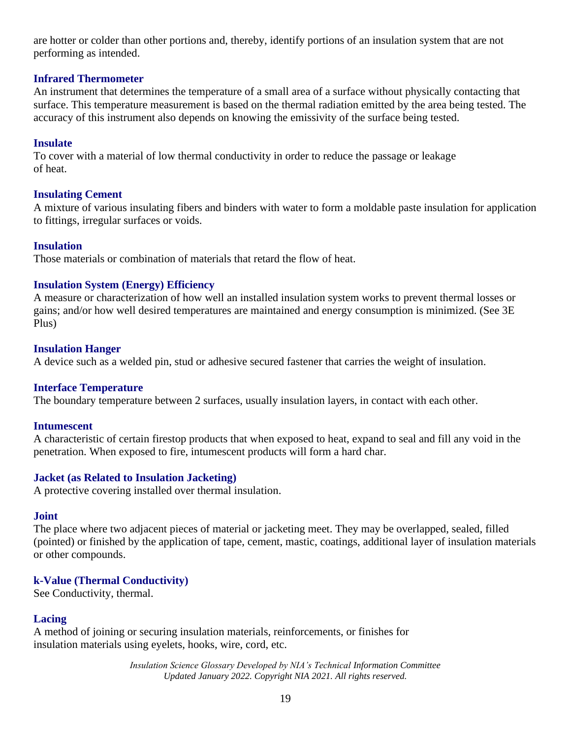are hotter or colder than other portions and, thereby, identify portions of an insulation system that are not performing as intended.

### **Infrared Thermometer**

An instrument that determines the temperature of a small area of a surface without physically contacting that surface. This temperature measurement is based on the thermal radiation emitted by the area being tested. The accuracy of this instrument also depends on knowing the emissivity of the surface being tested.

## **Insulate**

To cover with a material of low thermal conductivity in order to reduce the passage or leakage of heat.

## **Insulating Cement**

A mixture of various insulating fibers and binders with water to form a moldable paste insulation for application to fittings, irregular surfaces or voids.

## **Insulation**

Those materials or combination of materials that retard the flow of heat.

## **Insulation System (Energy) Efficiency**

A measure or characterization of how well an installed insulation system works to prevent thermal losses or gains; and/or how well desired temperatures are maintained and energy consumption is minimized. (See 3E Plus)

## **Insulation Hanger**

A device such as a welded pin, stud or adhesive secured fastener that carries the weight of insulation.

## **Interface Temperature**

The boundary temperature between 2 surfaces, usually insulation layers, in contact with each other.

### **Intumescent**

A characteristic of certain firestop products that when exposed to heat, expand to seal and fill any void in the penetration. When exposed to fire, intumescent products will form a hard char.

## **Jacket (as Related to Insulation Jacketing)**

A protective covering installed over thermal insulation.

### **Joint**

The place where two adjacent pieces of material or jacketing meet. They may be overlapped, sealed, filled (pointed) or finished by the application of tape, cement, mastic, coatings, additional layer of insulation materials or other compounds.

## **k-Value (Thermal Conductivity)**

See Conductivity, thermal.

## **Lacing**

A method of joining or securing insulation materials, reinforcements, or finishes for insulation materials using eyelets, hooks, wire, cord, etc.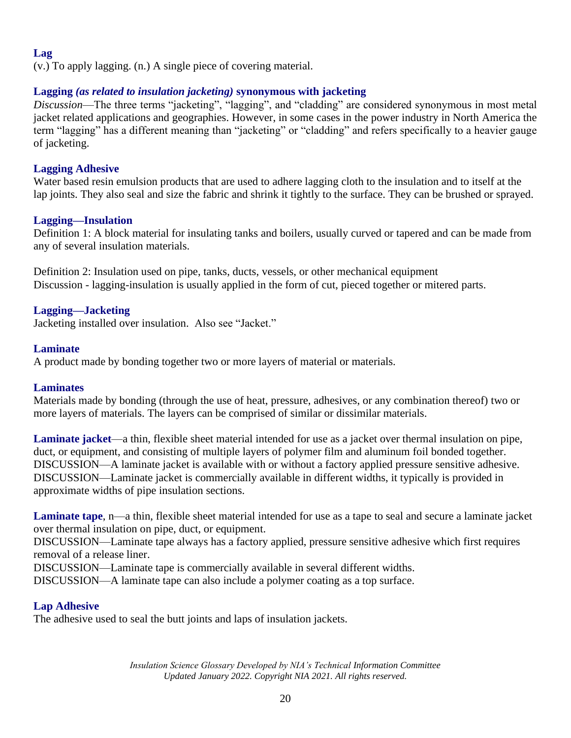## **Lag**

(v.) To apply lagging. (n.) A single piece of covering material.

## **Lagging** *(as related to insulation jacketing)* **synonymous with jacketing**

*Discussion*—The three terms "jacketing", "lagging", and "cladding" are considered synonymous in most metal jacket related applications and geographies. However, in some cases in the power industry in North America the term "lagging" has a different meaning than "jacketing" or "cladding" and refers specifically to a heavier gauge of jacketing.

## **Lagging Adhesive**

Water based resin emulsion products that are used to adhere lagging cloth to the insulation and to itself at the lap joints. They also seal and size the fabric and shrink it tightly to the surface. They can be brushed or sprayed.

## **Lagging—Insulation**

Definition 1: A block material for insulating tanks and boilers, usually curved or tapered and can be made from any of several insulation materials.

Definition 2: Insulation used on pipe, tanks, ducts, vessels, or other mechanical equipment Discussion - lagging-insulation is usually applied in the form of cut, pieced together or mitered parts.

## **Lagging—Jacketing**

Jacketing installed over insulation. Also see "Jacket."

## **Laminate**

A product made by bonding together two or more layers of material or materials.

## **Laminates**

Materials made by bonding (through the use of heat, pressure, adhesives, or any combination thereof) two or more layers of materials. The layers can be comprised of similar or dissimilar materials.

**Laminate jacket**—a thin, flexible sheet material intended for use as a jacket over thermal insulation on pipe, duct, or equipment, and consisting of multiple layers of polymer film and aluminum foil bonded together. DISCUSSION—A laminate jacket is available with or without a factory applied pressure sensitive adhesive. DISCUSSION—Laminate jacket is commercially available in different widths, it typically is provided in approximate widths of pipe insulation sections.

**Laminate tape**, n—a thin, flexible sheet material intended for use as a tape to seal and secure a laminate jacket over thermal insulation on pipe, duct, or equipment.

DISCUSSION—Laminate tape always has a factory applied, pressure sensitive adhesive which first requires removal of a release liner.

DISCUSSION—Laminate tape is commercially available in several different widths.

DISCUSSION—A laminate tape can also include a polymer coating as a top surface.

## **Lap Adhesive**

The adhesive used to seal the butt joints and laps of insulation jackets.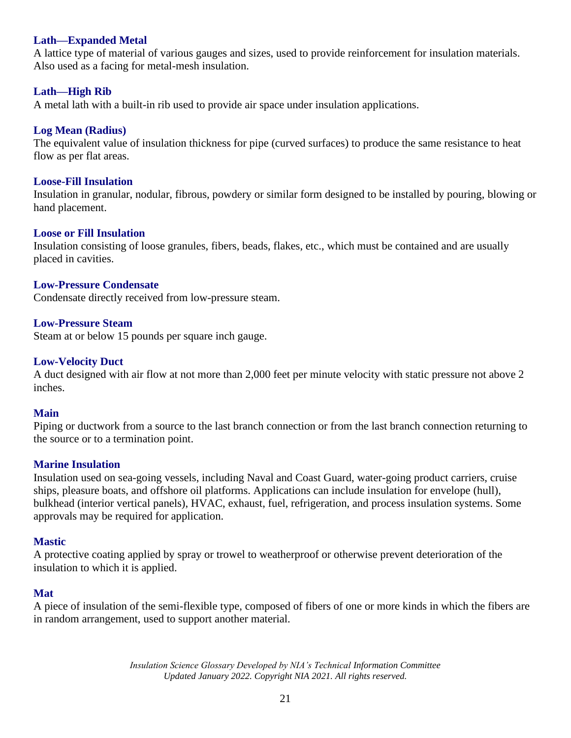## **Lath—Expanded Metal**

A lattice type of material of various gauges and sizes, used to provide reinforcement for insulation materials. Also used as a facing for metal-mesh insulation.

## **Lath—High Rib**

A metal lath with a built-in rib used to provide air space under insulation applications.

### **Log Mean (Radius)**

The equivalent value of insulation thickness for pipe (curved surfaces) to produce the same resistance to heat flow as per flat areas.

#### **Loose-Fill Insulation**

Insulation in granular, nodular, fibrous, powdery or similar form designed to be installed by pouring, blowing or hand placement.

#### **Loose or Fill Insulation**

Insulation consisting of loose granules, fibers, beads, flakes, etc., which must be contained and are usually placed in cavities.

#### **Low-Pressure Condensate**

Condensate directly received from low-pressure steam.

#### **Low-Pressure Steam**

Steam at or below 15 pounds per square inch gauge.

#### **Low-Velocity Duct**

A duct designed with air flow at not more than 2,000 feet per minute velocity with static pressure not above 2 inches.

#### **Main**

Piping or ductwork from a source to the last branch connection or from the last branch connection returning to the source or to a termination point.

### **Marine Insulation**

Insulation used on sea-going vessels, including Naval and Coast Guard, water-going product carriers, cruise ships, pleasure boats, and offshore oil platforms. Applications can include insulation for envelope (hull), bulkhead (interior vertical panels), HVAC, exhaust, fuel, refrigeration, and process insulation systems. Some approvals may be required for application.

#### **Mastic**

A protective coating applied by spray or trowel to weatherproof or otherwise prevent deterioration of the insulation to which it is applied.

#### **Mat**

A piece of insulation of the semi-flexible type, composed of fibers of one or more kinds in which the fibers are in random arrangement, used to support another material.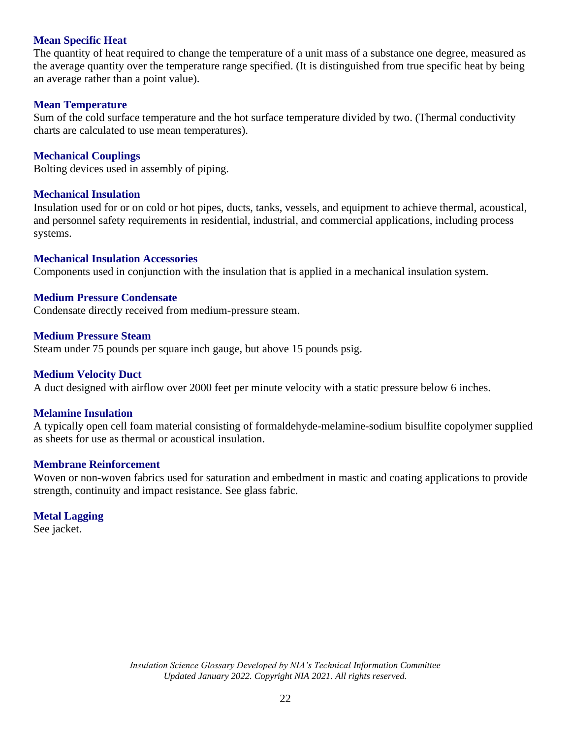## **Mean Specific Heat**

The quantity of heat required to change the temperature of a unit mass of a substance one degree, measured as the average quantity over the temperature range specified. (It is distinguished from true specific heat by being an average rather than a point value).

#### **Mean Temperature**

Sum of the cold surface temperature and the hot surface temperature divided by two. (Thermal conductivity charts are calculated to use mean temperatures).

### **Mechanical Couplings**

Bolting devices used in assembly of piping.

#### **Mechanical Insulation**

Insulation used for or on cold or hot pipes, ducts, tanks, vessels, and equipment to achieve thermal, acoustical, and personnel safety requirements in residential, industrial, and commercial applications, including process systems.

#### **Mechanical Insulation Accessories**

Components used in conjunction with the insulation that is applied in a mechanical insulation system.

#### **Medium Pressure Condensate**

Condensate directly received from medium-pressure steam.

#### **Medium Pressure Steam**

Steam under 75 pounds per square inch gauge, but above 15 pounds psig.

### **Medium Velocity Duct**

A duct designed with airflow over 2000 feet per minute velocity with a static pressure below 6 inches.

### **Melamine Insulation**

A typically open cell foam material consisting of formaldehyde-melamine-sodium bisulfite copolymer supplied as sheets for use as thermal or acoustical insulation.

## **Membrane Reinforcement**

Woven or non-woven fabrics used for saturation and embedment in mastic and coating applications to provide strength, continuity and impact resistance. See glass fabric.

## **Metal Lagging**

See jacket.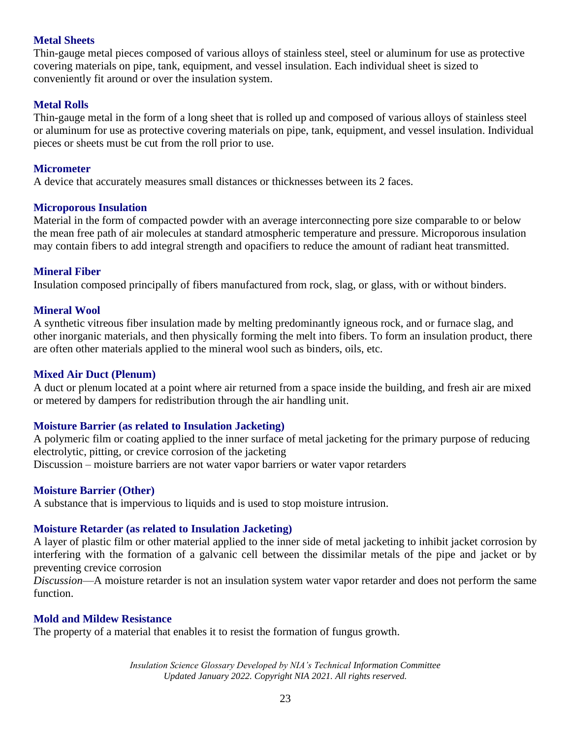### **Metal Sheets**

Thin-gauge metal pieces composed of various alloys of stainless steel, steel or aluminum for use as protective covering materials on pipe, tank, equipment, and vessel insulation. Each individual sheet is sized to conveniently fit around or over the insulation system.

### **Metal Rolls**

Thin-gauge metal in the form of a long sheet that is rolled up and composed of various alloys of stainless steel or aluminum for use as protective covering materials on pipe, tank, equipment, and vessel insulation. Individual pieces or sheets must be cut from the roll prior to use.

### **Micrometer**

A device that accurately measures small distances or thicknesses between its 2 faces.

### **Microporous Insulation**

Material in the form of compacted powder with an average interconnecting pore size comparable to or below the mean free path of air molecules at standard atmospheric temperature and pressure. Microporous insulation may contain fibers to add integral strength and opacifiers to reduce the amount of radiant heat transmitted.

### **Mineral Fiber**

Insulation composed principally of fibers manufactured from rock, slag, or glass, with or without binders.

#### **Mineral Wool**

A synthetic vitreous fiber insulation made by melting predominantly igneous rock, and or furnace slag, and other inorganic materials, and then physically forming the melt into fibers. To form an insulation product, there are often other materials applied to the mineral wool such as binders, oils, etc.

#### **Mixed Air Duct (Plenum)**

A duct or plenum located at a point where air returned from a space inside the building, and fresh air are mixed or metered by dampers for redistribution through the air handling unit.

### **Moisture Barrier (as related to Insulation Jacketing)**

A polymeric film or coating applied to the inner surface of metal jacketing for the primary purpose of reducing electrolytic, pitting, or crevice corrosion of the jacketing Discussion – moisture barriers are not water vapor barriers or water vapor retarders

#### **Moisture Barrier (Other)**

A substance that is impervious to liquids and is used to stop moisture intrusion.

### **Moisture Retarder (as related to Insulation Jacketing)**

A layer of plastic film or other material applied to the inner side of metal jacketing to inhibit jacket corrosion by interfering with the formation of a galvanic cell between the dissimilar metals of the pipe and jacket or by preventing crevice corrosion

*Discussion*—A moisture retarder is not an insulation system water vapor retarder and does not perform the same function.

### **Mold and Mildew Resistance**

The property of a material that enables it to resist the formation of fungus growth.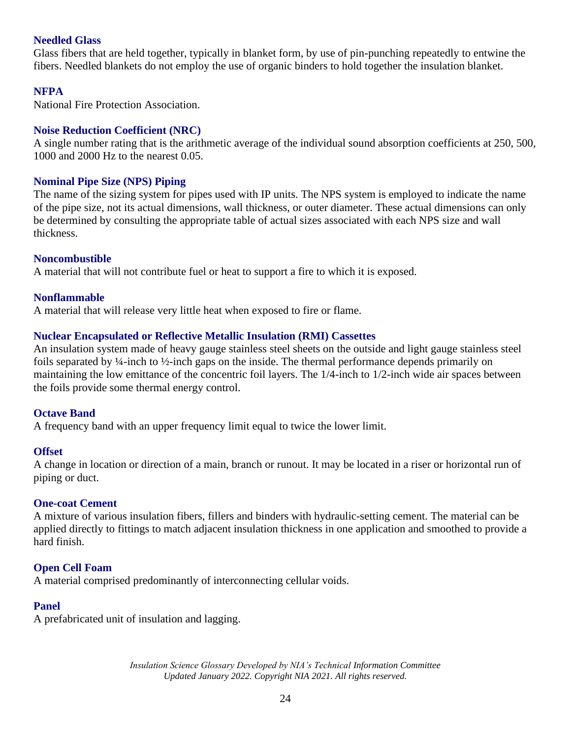## **Needled Glass**

Glass fibers that are held together, typically in blanket form, by use of pin-punching repeatedly to entwine the fibers. Needled blankets do not employ the use of organic binders to hold together the insulation blanket.

## **NFPA**

National Fire Protection Association.

### **Noise Reduction Coefficient (NRC)**

A single number rating that is the arithmetic average of the individual sound absorption coefficients at 250, 500, 1000 and 2000 Hz to the nearest 0.05.

### **Nominal Pipe Size (NPS) Piping**

The name of the sizing system for pipes used with IP units. The NPS system is employed to indicate the name of the pipe size, not its actual dimensions, wall thickness, or outer diameter. These actual dimensions can only be determined by consulting the appropriate table of actual sizes associated with each NPS size and wall thickness.

### **Noncombustible**

A material that will not contribute fuel or heat to support a fire to which it is exposed.

### **Nonflammable**

A material that will release very little heat when exposed to fire or flame.

## **Nuclear Encapsulated or Reflective Metallic Insulation (RMI) Cassettes**

An insulation system made of heavy gauge stainless steel sheets on the outside and light gauge stainless steel foils separated by  $\frac{1}{4}$ -inch to  $\frac{1}{2}$ -inch gaps on the inside. The thermal performance depends primarily on maintaining the low emittance of the concentric foil layers. The 1/4-inch to 1/2-inch wide air spaces between the foils provide some thermal energy control.

### **Octave Band**

A frequency band with an upper frequency limit equal to twice the lower limit.

### **Offset**

A change in location or direction of a main, branch or runout. It may be located in a riser or horizontal run of piping or duct.

### **One-coat Cement**

A mixture of various insulation fibers, fillers and binders with hydraulic-setting cement. The material can be applied directly to fittings to match adjacent insulation thickness in one application and smoothed to provide a hard finish.

### **Open Cell Foam**

A material comprised predominantly of interconnecting cellular voids.

### **Panel**

A prefabricated unit of insulation and lagging.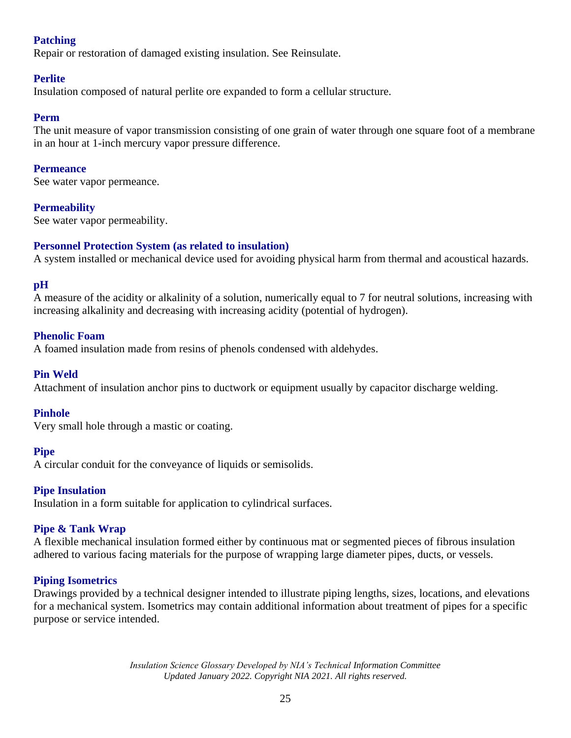## **Patching**

Repair or restoration of damaged existing insulation. See Reinsulate.

## **Perlite**

Insulation composed of natural perlite ore expanded to form a cellular structure.

## **Perm**

The unit measure of vapor transmission consisting of one grain of water through one square foot of a membrane in an hour at 1-inch mercury vapor pressure difference.

### **Permeance**

See water vapor permeance.

## **Permeability**

See water vapor permeability.

## **Personnel Protection System (as related to insulation)**

A system installed or mechanical device used for avoiding physical harm from thermal and acoustical hazards.

## **pH**

A measure of the acidity or alkalinity of a solution, numerically equal to 7 for neutral solutions, increasing with increasing alkalinity and decreasing with increasing acidity (potential of hydrogen).

## **Phenolic Foam**

A foamed insulation made from resins of phenols condensed with aldehydes.

## **Pin Weld**

Attachment of insulation anchor pins to ductwork or equipment usually by capacitor discharge welding.

### **Pinhole**

Very small hole through a mastic or coating.

### **Pipe**

A circular conduit for the conveyance of liquids or semisolids.

### **Pipe Insulation**

Insulation in a form suitable for application to cylindrical surfaces.

### **Pipe & Tank Wrap**

A flexible mechanical insulation formed either by continuous mat or segmented pieces of fibrous insulation adhered to various facing materials for the purpose of wrapping large diameter pipes, ducts, or vessels.

### **Piping Isometrics**

Drawings provided by a technical designer intended to illustrate piping lengths, sizes, locations, and elevations for a mechanical system. Isometrics may contain additional information about treatment of pipes for a specific purpose or service intended.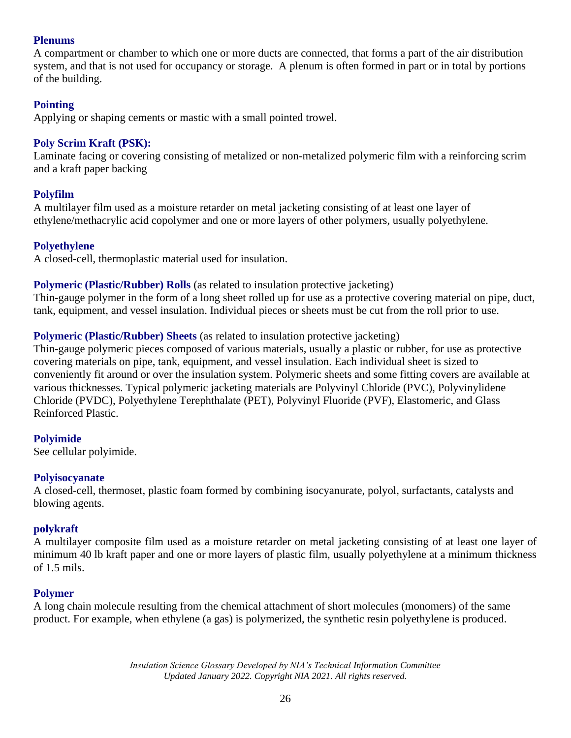## **Plenums**

A compartment or chamber to which one or more ducts are connected, that forms a part of the air distribution system, and that is not used for occupancy or storage. A plenum is often formed in part or in total by portions of the building.

## **Pointing**

Applying or shaping cements or mastic with a small pointed trowel.

## **Poly Scrim Kraft (PSK):**

Laminate facing or covering consisting of metalized or non-metalized polymeric film with a reinforcing scrim and a kraft paper backing

## **Polyfilm**

A multilayer film used as a moisture retarder on metal jacketing consisting of at least one layer of ethylene/methacrylic acid copolymer and one or more layers of other polymers, usually polyethylene.

## **Polyethylene**

A closed-cell, thermoplastic material used for insulation.

## **Polymeric (Plastic/Rubber) Rolls** (as related to insulation protective jacketing)

Thin-gauge polymer in the form of a long sheet rolled up for use as a protective covering material on pipe, duct, tank, equipment, and vessel insulation. Individual pieces or sheets must be cut from the roll prior to use.

## **Polymeric (Plastic/Rubber) Sheets** (as related to insulation protective jacketing)

Thin-gauge polymeric pieces composed of various materials, usually a plastic or rubber, for use as protective covering materials on pipe, tank, equipment, and vessel insulation. Each individual sheet is sized to conveniently fit around or over the insulation system. Polymeric sheets and some fitting covers are available at various thicknesses. Typical polymeric jacketing materials are Polyvinyl Chloride (PVC), Polyvinylidene Chloride (PVDC), Polyethylene Terephthalate (PET), Polyvinyl Fluoride (PVF), Elastomeric, and Glass Reinforced Plastic.

## **Polyimide**

See cellular polyimide.

### **Polyisocyanate**

A closed-cell, thermoset, plastic foam formed by combining isocyanurate, polyol, surfactants, catalysts and blowing agents.

### **polykraft**

A multilayer composite film used as a moisture retarder on metal jacketing consisting of at least one layer of minimum 40 lb kraft paper and one or more layers of plastic film, usually polyethylene at a minimum thickness of 1.5 mils.

## **Polymer**

A long chain molecule resulting from the chemical attachment of short molecules (monomers) of the same product. For example, when ethylene (a gas) is polymerized, the synthetic resin polyethylene is produced.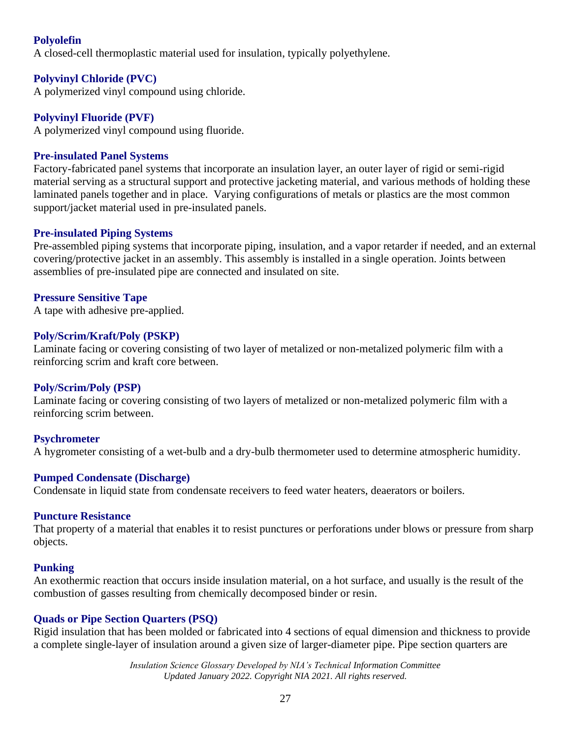## **Polyolefin**

A closed-cell thermoplastic material used for insulation, typically polyethylene.

## **Polyvinyl Chloride (PVC)**

A polymerized vinyl compound using chloride.

## **Polyvinyl Fluoride (PVF)**

A polymerized vinyl compound using fluoride.

## **Pre-insulated Panel Systems**

Factory-fabricated panel systems that incorporate an insulation layer, an outer layer of rigid or semi-rigid material serving as a structural support and protective jacketing material, and various methods of holding these laminated panels together and in place. Varying configurations of metals or plastics are the most common support/jacket material used in pre-insulated panels.

## **Pre-insulated Piping Systems**

Pre-assembled piping systems that incorporate piping, insulation, and a vapor retarder if needed, and an external covering/protective jacket in an assembly. This assembly is installed in a single operation. Joints between assemblies of pre-insulated pipe are connected and insulated on site.

## **Pressure Sensitive Tape**

A tape with adhesive pre-applied.

## **Poly/Scrim/Kraft/Poly (PSKP)**

Laminate facing or covering consisting of two layer of metalized or non-metalized polymeric film with a reinforcing scrim and kraft core between.

## **Poly/Scrim/Poly (PSP)**

Laminate facing or covering consisting of two layers of metalized or non-metalized polymeric film with a reinforcing scrim between.

## **Psychrometer**

A hygrometer consisting of a wet-bulb and a dry-bulb thermometer used to determine atmospheric humidity.

### **Pumped Condensate (Discharge)**

Condensate in liquid state from condensate receivers to feed water heaters, deaerators or boilers.

### **Puncture Resistance**

That property of a material that enables it to resist punctures or perforations under blows or pressure from sharp objects.

### **Punking**

An exothermic reaction that occurs inside insulation material, on a hot surface, and usually is the result of the combustion of gasses resulting from chemically decomposed binder or resin.

## **Quads or Pipe Section Quarters (PSQ)**

Rigid insulation that has been molded or fabricated into 4 sections of equal dimension and thickness to provide a complete single-layer of insulation around a given size of larger-diameter pipe. Pipe section quarters are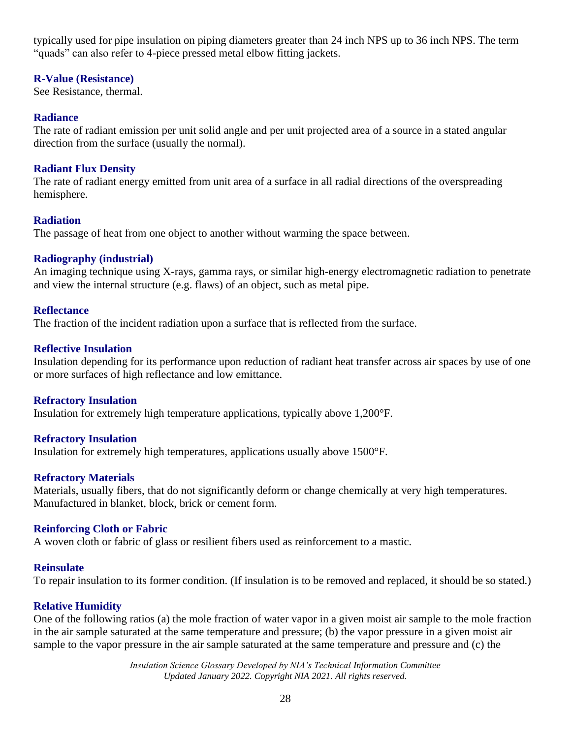typically used for pipe insulation on piping diameters greater than 24 inch NPS up to 36 inch NPS. The term "quads" can also refer to 4-piece pressed metal elbow fitting jackets.

## **R-Value (Resistance)**

See Resistance, thermal.

## **Radiance**

The rate of radiant emission per unit solid angle and per unit projected area of a source in a stated angular direction from the surface (usually the normal).

## **Radiant Flux Density**

The rate of radiant energy emitted from unit area of a surface in all radial directions of the overspreading hemisphere.

## **Radiation**

The passage of heat from one object to another without warming the space between.

## **Radiography (industrial)**

An imaging technique using X-rays, gamma rays, or similar high-energy electromagnetic radiation to penetrate and view the internal structure (e.g. flaws) of an object, such as metal pipe.

## **Reflectance**

The fraction of the incident radiation upon a surface that is reflected from the surface.

## **Reflective Insulation**

Insulation depending for its performance upon reduction of radiant heat transfer across air spaces by use of one or more surfaces of high reflectance and low emittance.

## **Refractory Insulation**

Insulation for extremely high temperature applications, typically above 1,200°F.

## **Refractory Insulation**

Insulation for extremely high temperatures, applications usually above 1500°F.

## **Refractory Materials**

Materials, usually fibers, that do not significantly deform or change chemically at very high temperatures. Manufactured in blanket, block, brick or cement form.

## **Reinforcing Cloth or Fabric**

A woven cloth or fabric of glass or resilient fibers used as reinforcement to a mastic.

## **Reinsulate**

To repair insulation to its former condition. (If insulation is to be removed and replaced, it should be so stated.)

## **Relative Humidity**

One of the following ratios (a) the mole fraction of water vapor in a given moist air sample to the mole fraction in the air sample saturated at the same temperature and pressure; (b) the vapor pressure in a given moist air sample to the vapor pressure in the air sample saturated at the same temperature and pressure and (c) the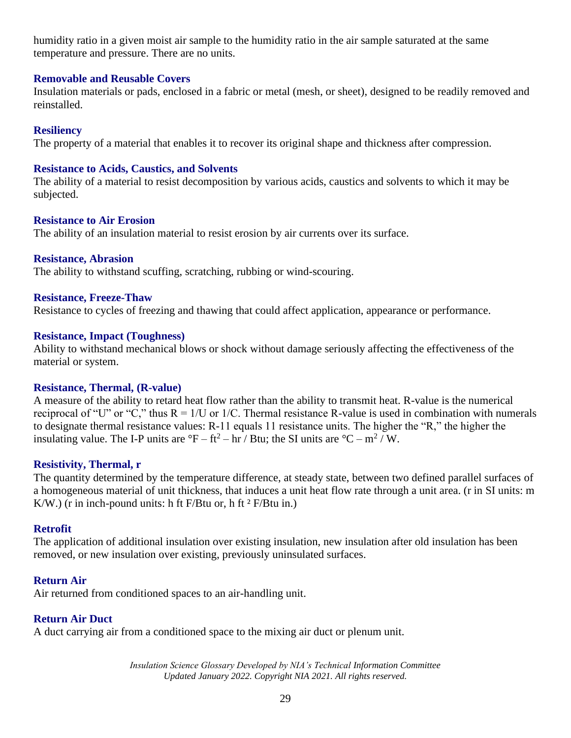humidity ratio in a given moist air sample to the humidity ratio in the air sample saturated at the same temperature and pressure. There are no units.

### **Removable and Reusable Covers**

Insulation materials or pads, enclosed in a fabric or metal (mesh, or sheet), designed to be readily removed and reinstalled.

### **Resiliency**

The property of a material that enables it to recover its original shape and thickness after compression.

#### **Resistance to Acids, Caustics, and Solvents**

The ability of a material to resist decomposition by various acids, caustics and solvents to which it may be subjected.

### **Resistance to Air Erosion**

The ability of an insulation material to resist erosion by air currents over its surface.

#### **Resistance, Abrasion**

The ability to withstand scuffing, scratching, rubbing or wind-scouring.

#### **Resistance, Freeze-Thaw**

Resistance to cycles of freezing and thawing that could affect application, appearance or performance.

#### **Resistance, Impact (Toughness)**

Ability to withstand mechanical blows or shock without damage seriously affecting the effectiveness of the material or system.

### **Resistance, Thermal, (R-value)**

A measure of the ability to retard heat flow rather than the ability to transmit heat. R-value is the numerical reciprocal of "U" or "C," thus  $R = 1/U$  or 1/C. Thermal resistance R-value is used in combination with numerals to designate thermal resistance values: R-11 equals 11 resistance units. The higher the "R," the higher the insulating value. The I-P units are  ${}^{\circ}F - ff^2 - hr / But$ ; the SI units are  ${}^{\circ}C - m^2 / W$ .

### **Resistivity, Thermal, r**

The quantity determined by the temperature difference, at steady state, between two defined parallel surfaces of a homogeneous material of unit thickness, that induces a unit heat flow rate through a unit area. (r in SI units: m K/W.) (r in inch-pound units: h ft  $F/Bt$ u or, h ft  $\frac{2F}{Bt}$ u in.)

### **Retrofit**

The application of additional insulation over existing insulation, new insulation after old insulation has been removed, or new insulation over existing, previously uninsulated surfaces.

## **Return Air**

Air returned from conditioned spaces to an air-handling unit.

#### **Return Air Duct**

A duct carrying air from a conditioned space to the mixing air duct or plenum unit.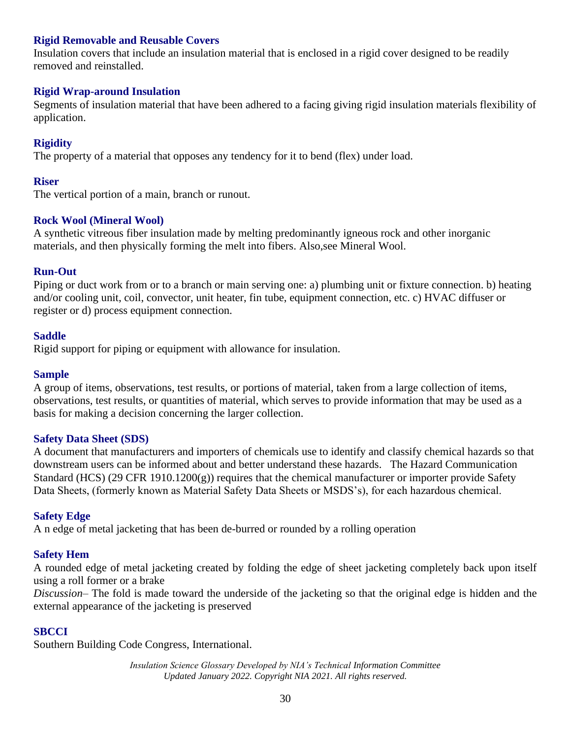## **Rigid Removable and Reusable Covers**

Insulation covers that include an insulation material that is enclosed in a rigid cover designed to be readily removed and reinstalled.

### **Rigid Wrap-around Insulation**

Segments of insulation material that have been adhered to a facing giving rigid insulation materials flexibility of application.

## **Rigidity**

The property of a material that opposes any tendency for it to bend (flex) under load.

### **Riser**

The vertical portion of a main, branch or runout.

### **Rock Wool (Mineral Wool)**

A synthetic vitreous fiber insulation made by melting predominantly igneous rock and other inorganic materials, and then physically forming the melt into fibers. Also,see Mineral Wool.

### **Run-Out**

Piping or duct work from or to a branch or main serving one: a) plumbing unit or fixture connection. b) heating and/or cooling unit, coil, convector, unit heater, fin tube, equipment connection, etc. c) HVAC diffuser or register or d) process equipment connection.

### **Saddle**

Rigid support for piping or equipment with allowance for insulation.

### **Sample**

A group of items, observations, test results, or portions of material, taken from a large collection of items, observations, test results, or quantities of material, which serves to provide information that may be used as a basis for making a decision concerning the larger collection.

### **Safety Data Sheet (SDS)**

A document that manufacturers and importers of chemicals use to identify and classify chemical hazards so that downstream users can be informed about and better understand these hazards. The Hazard Communication Standard (HCS) (29 CFR 1910.1200(g)) requires that the chemical manufacturer or importer provide Safety Data Sheets, (formerly known as Material Safety Data Sheets or MSDS's), for each hazardous chemical.

### **Safety Edge**

A n edge of metal jacketing that has been de-burred or rounded by a rolling operation

### **Safety Hem**

A rounded edge of metal jacketing created by folding the edge of sheet jacketing completely back upon itself using a roll former or a brake

*Discussion*– The fold is made toward the underside of the jacketing so that the original edge is hidden and the external appearance of the jacketing is preserved

### **SBCCI**

Southern Building Code Congress, International.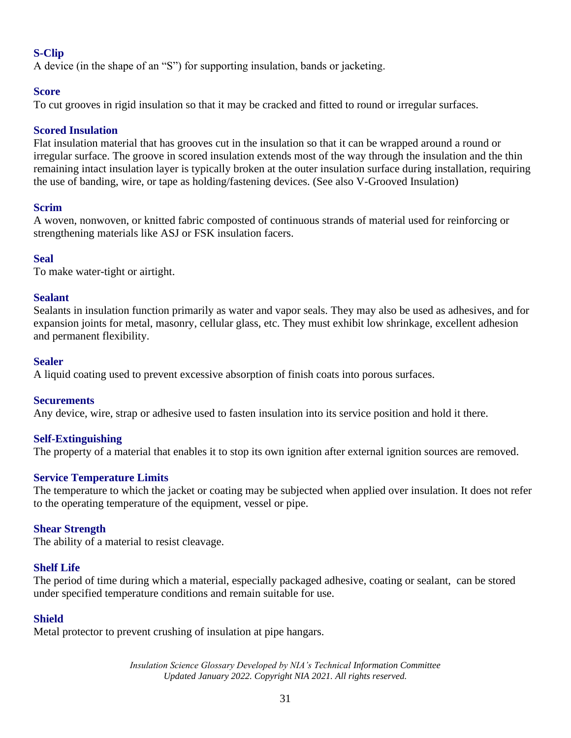## **S-Clip**

A device (in the shape of an "S") for supporting insulation, bands or jacketing.

## **Score**

To cut grooves in rigid insulation so that it may be cracked and fitted to round or irregular surfaces.

## **Scored Insulation**

Flat insulation material that has grooves cut in the insulation so that it can be wrapped around a round or irregular surface. The groove in scored insulation extends most of the way through the insulation and the thin remaining intact insulation layer is typically broken at the outer insulation surface during installation, requiring the use of banding, wire, or tape as holding/fastening devices. (See also V-Grooved Insulation)

## **Scrim**

A woven, nonwoven, or knitted fabric composted of continuous strands of material used for reinforcing or strengthening materials like ASJ or FSK insulation facers.

## **Seal**

To make water-tight or airtight.

## **Sealant**

Sealants in insulation function primarily as water and vapor seals. They may also be used as adhesives, and for expansion joints for metal, masonry, cellular glass, etc. They must exhibit low shrinkage, excellent adhesion and permanent flexibility.

## **Sealer**

A liquid coating used to prevent excessive absorption of finish coats into porous surfaces.

## **Securements**

Any device, wire, strap or adhesive used to fasten insulation into its service position and hold it there.

## **Self-Extinguishing**

The property of a material that enables it to stop its own ignition after external ignition sources are removed.

## **Service Temperature Limits**

The temperature to which the jacket or coating may be subjected when applied over insulation. It does not refer to the operating temperature of the equipment, vessel or pipe.

## **Shear Strength**

The ability of a material to resist cleavage.

## **Shelf Life**

The period of time during which a material, especially packaged adhesive, coating or sealant, can be stored under specified temperature conditions and remain suitable for use.

## **Shield**

Metal protector to prevent crushing of insulation at pipe hangars.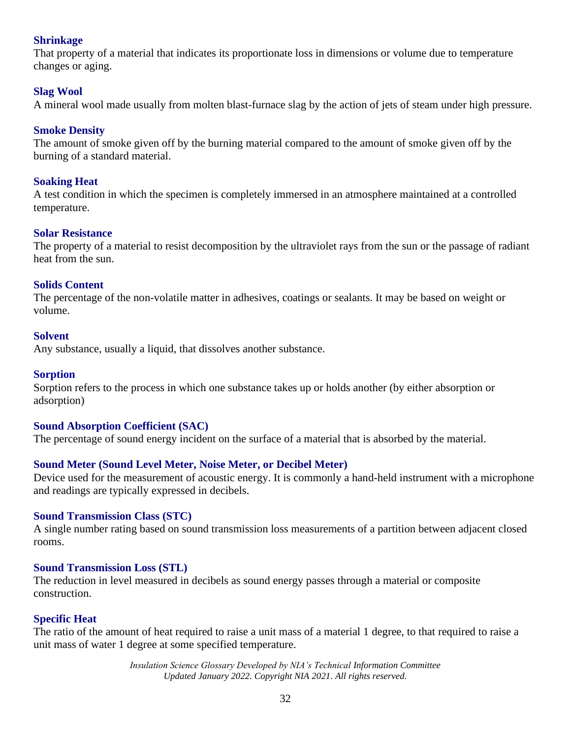## **Shrinkage**

That property of a material that indicates its proportionate loss in dimensions or volume due to temperature changes or aging.

## **Slag Wool**

A mineral wool made usually from molten blast-furnace slag by the action of jets of steam under high pressure.

### **Smoke Density**

The amount of smoke given off by the burning material compared to the amount of smoke given off by the burning of a standard material.

### **Soaking Heat**

A test condition in which the specimen is completely immersed in an atmosphere maintained at a controlled temperature.

### **Solar Resistance**

The property of a material to resist decomposition by the ultraviolet rays from the sun or the passage of radiant heat from the sun.

### **Solids Content**

The percentage of the non-volatile matter in adhesives, coatings or sealants. It may be based on weight or volume.

#### **Solvent**

Any substance, usually a liquid, that dissolves another substance.

### **Sorption**

Sorption refers to the process in which one substance takes up or holds another (by either absorption or adsorption)

### **Sound Absorption Coefficient (SAC)**

The percentage of sound energy incident on the surface of a material that is absorbed by the material.

### **Sound Meter (Sound Level Meter, Noise Meter, or Decibel Meter)**

Device used for the measurement of acoustic energy. It is commonly a hand-held instrument with a microphone and readings are typically expressed in decibels.

### **Sound Transmission Class (STC)**

A single number rating based on sound transmission loss measurements of a partition between adjacent closed rooms.

### **Sound Transmission Loss (STL)**

The reduction in level measured in decibels as sound energy passes through a material or composite construction.

### **Specific Heat**

The ratio of the amount of heat required to raise a unit mass of a material 1 degree, to that required to raise a unit mass of water 1 degree at some specified temperature.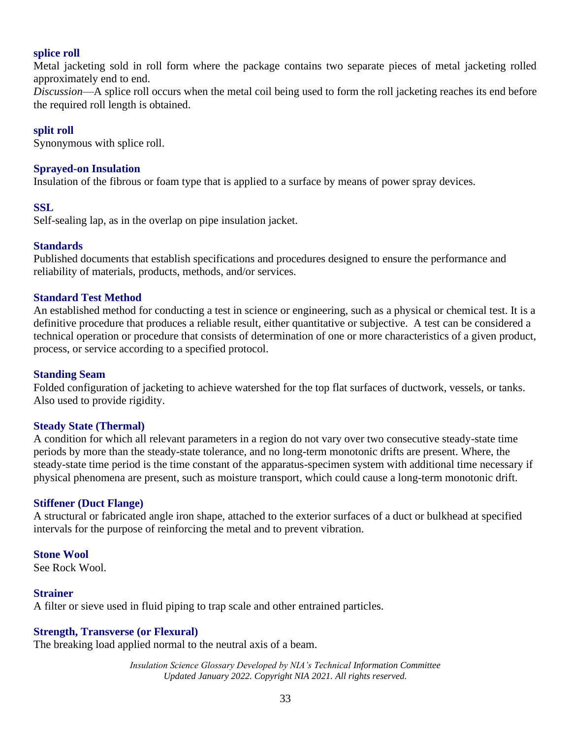#### **splice roll**

Metal jacketing sold in roll form where the package contains two separate pieces of metal jacketing rolled approximately end to end.

*Discussion*—A splice roll occurs when the metal coil being used to form the roll jacketing reaches its end before the required roll length is obtained.

#### **split roll**

Synonymous with splice roll.

#### **Sprayed-on Insulation**

Insulation of the fibrous or foam type that is applied to a surface by means of power spray devices.

#### **SSL**

Self-sealing lap, as in the overlap on pipe insulation jacket.

### **Standards**

Published documents that establish specifications and procedures designed to ensure the performance and reliability of materials, products, methods, and/or services.

#### **Standard Test Method**

An established method for conducting a test in science or engineering, such as a physical or chemical test. It is a definitive procedure that produces a reliable result, either quantitative or subjective. A test can be considered a technical operation or procedure that consists of determination of one or more characteristics of a given product, process, or service according to a specified protocol.

#### **Standing Seam**

Folded configuration of jacketing to achieve watershed for the top flat surfaces of ductwork, vessels, or tanks. Also used to provide rigidity.

#### **Steady State (Thermal)**

A condition for which all relevant parameters in a region do not vary over two consecutive steady-state time periods by more than the steady-state tolerance, and no long-term monotonic drifts are present. Where, the steady-state time period is the time constant of the apparatus-specimen system with additional time necessary if physical phenomena are present, such as moisture transport, which could cause a long-term monotonic drift.

#### **Stiffener (Duct Flange)**

A structural or fabricated angle iron shape, attached to the exterior surfaces of a duct or bulkhead at specified intervals for the purpose of reinforcing the metal and to prevent vibration.

#### **Stone Wool**

See Rock Wool.

#### **Strainer**

A filter or sieve used in fluid piping to trap scale and other entrained particles.

### **Strength, Transverse (or Flexural)**

The breaking load applied normal to the neutral axis of a beam.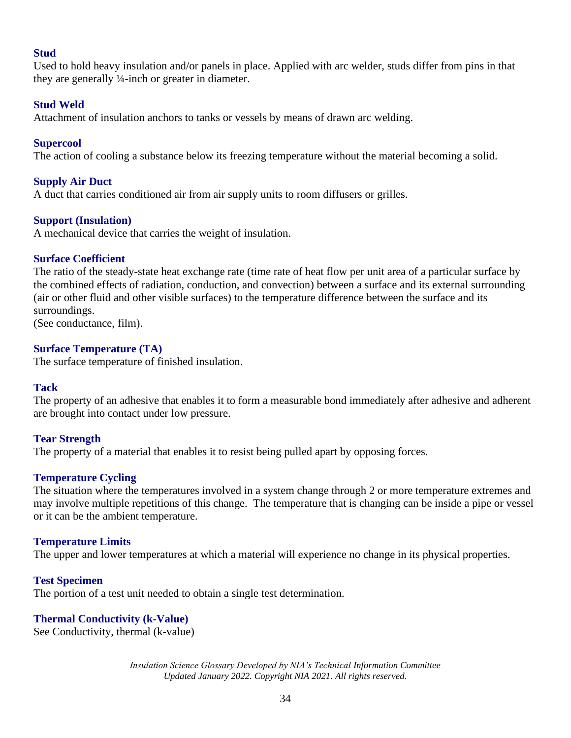### **Stud**

Used to hold heavy insulation and/or panels in place. Applied with arc welder, studs differ from pins in that they are generally ¼-inch or greater in diameter.

### **Stud Weld**

Attachment of insulation anchors to tanks or vessels by means of drawn arc welding.

### **Supercool**

The action of cooling a substance below its freezing temperature without the material becoming a solid.

### **Supply Air Duct**

A duct that carries conditioned air from air supply units to room diffusers or grilles.

### **Support (Insulation)**

A mechanical device that carries the weight of insulation.

### **Surface Coefficient**

The ratio of the steady-state heat exchange rate (time rate of heat flow per unit area of a particular surface by the combined effects of radiation, conduction, and convection) between a surface and its external surrounding (air or other fluid and other visible surfaces) to the temperature difference between the surface and its surroundings.

(See conductance, film).

## **Surface Temperature (TA)**

The surface temperature of finished insulation.

### **Tack**

The property of an adhesive that enables it to form a measurable bond immediately after adhesive and adherent are brought into contact under low pressure.

### **Tear Strength**

The property of a material that enables it to resist being pulled apart by opposing forces.

### **Temperature Cycling**

The situation where the temperatures involved in a system change through 2 or more temperature extremes and may involve multiple repetitions of this change. The temperature that is changing can be inside a pipe or vessel or it can be the ambient temperature.

### **Temperature Limits**

The upper and lower temperatures at which a material will experience no change in its physical properties.

### **Test Specimen**

The portion of a test unit needed to obtain a single test determination.

### **Thermal Conductivity (k-Value)**

See Conductivity, thermal (k-value)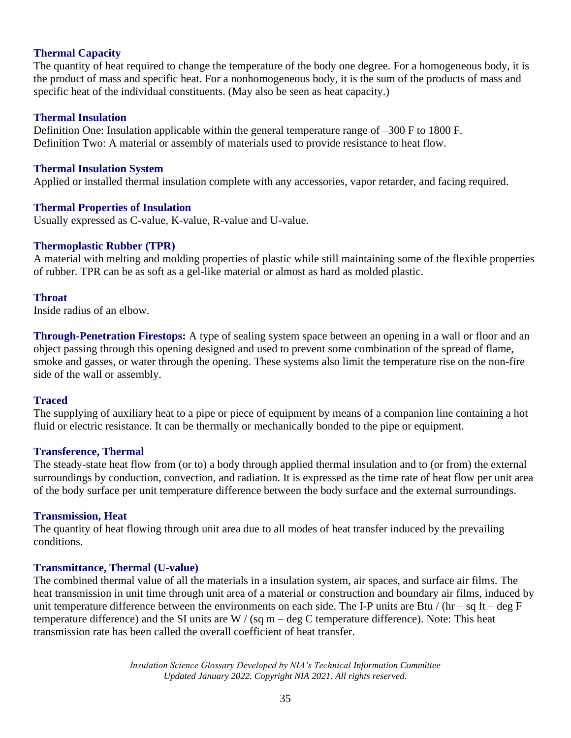### **Thermal Capacity**

The quantity of heat required to change the temperature of the body one degree. For a homogeneous body, it is the product of mass and specific heat. For a nonhomogeneous body, it is the sum of the products of mass and specific heat of the individual constituents. (May also be seen as heat capacity.)

#### **Thermal Insulation**

Definition One: Insulation applicable within the general temperature range of –300 F to 1800 F. Definition Two: A material or assembly of materials used to provide resistance to heat flow.

#### **Thermal Insulation System**

Applied or installed thermal insulation complete with any accessories, vapor retarder, and facing required.

#### **Thermal Properties of Insulation**

Usually expressed as C-value, K-value, R-value and U-value.

#### **Thermoplastic Rubber (TPR)**

A material with melting and molding properties of plastic while still maintaining some of the flexible properties of rubber. TPR can be as soft as a gel-like material or almost as hard as molded plastic.

#### **Throat**

Inside radius of an elbow.

**Through-Penetration Firestops:** A type of sealing system space between an opening in a wall or floor and an object passing through this opening designed and used to prevent some combination of the spread of flame, smoke and gasses, or water through the opening. These systems also limit the temperature rise on the non-fire side of the wall or assembly.

#### **Traced**

The supplying of auxiliary heat to a pipe or piece of equipment by means of a companion line containing a hot fluid or electric resistance. It can be thermally or mechanically bonded to the pipe or equipment.

#### **Transference, Thermal**

The steady-state heat flow from (or to) a body through applied thermal insulation and to (or from) the external surroundings by conduction, convection, and radiation. It is expressed as the time rate of heat flow per unit area of the body surface per unit temperature difference between the body surface and the external surroundings.

#### **Transmission, Heat**

The quantity of heat flowing through unit area due to all modes of heat transfer induced by the prevailing conditions.

### **Transmittance, Thermal (U-value)**

The combined thermal value of all the materials in a insulation system, air spaces, and surface air films. The heat transmission in unit time through unit area of a material or construction and boundary air films, induced by unit temperature difference between the environments on each side. The I-P units are Btu / (hr – sq ft – deg F temperature difference) and the SI units are  $W / (sq m - deg C)$  temperature difference). Note: This heat transmission rate has been called the overall coefficient of heat transfer.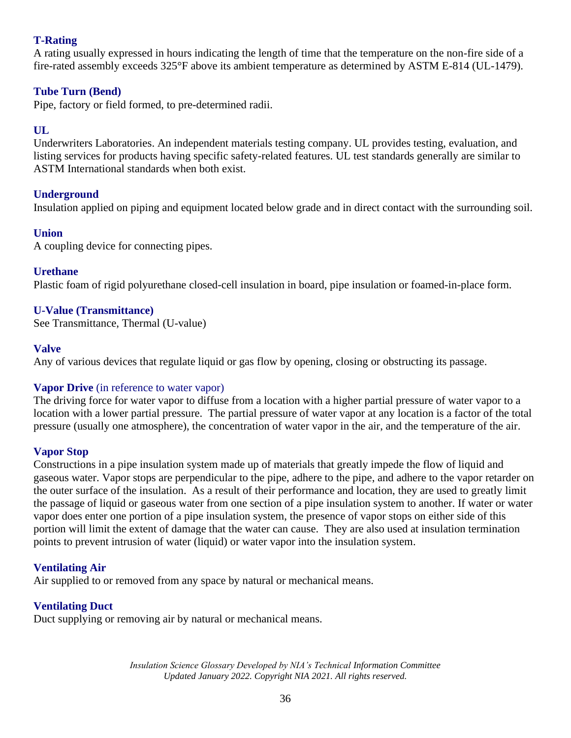## **T-Rating**

A rating usually expressed in hours indicating the length of time that the temperature on the non-fire side of a fire-rated assembly exceeds 325°F above its ambient temperature as determined by ASTM E-814 (UL-1479).

## **Tube Turn (Bend)**

Pipe, factory or field formed, to pre-determined radii.

## **UL**

Underwriters Laboratories. An independent materials testing company. UL provides testing, evaluation, and listing services for products having specific safety-related features. UL test standards generally are similar to ASTM International standards when both exist.

## **Underground**

Insulation applied on piping and equipment located below grade and in direct contact with the surrounding soil.

## **Union**

A coupling device for connecting pipes.

## **Urethane**

Plastic foam of rigid polyurethane closed-cell insulation in board, pipe insulation or foamed-in-place form.

## **U-Value (Transmittance)**

See Transmittance, Thermal (U-value)

## **Valve**

Any of various devices that regulate liquid or gas flow by opening, closing or obstructing its passage.

## **Vapor Drive** (in reference to water vapor)

The driving force for water vapor to diffuse from a location with a higher partial pressure of water vapor to a location with a lower partial pressure. The partial pressure of water vapor at any location is a factor of the total pressure (usually one atmosphere), the concentration of water vapor in the air, and the temperature of the air.

## **Vapor Stop**

Constructions in a pipe insulation system made up of materials that greatly impede the flow of liquid and gaseous water. Vapor stops are perpendicular to the pipe, adhere to the pipe, and adhere to the vapor retarder on the outer surface of the insulation. As a result of their performance and location, they are used to greatly limit the passage of liquid or gaseous water from one section of a pipe insulation system to another. If water or water vapor does enter one portion of a pipe insulation system, the presence of vapor stops on either side of this portion will limit the extent of damage that the water can cause. They are also used at insulation termination points to prevent intrusion of water (liquid) or water vapor into the insulation system.

## **Ventilating Air**

Air supplied to or removed from any space by natural or mechanical means.

## **Ventilating Duct**

Duct supplying or removing air by natural or mechanical means.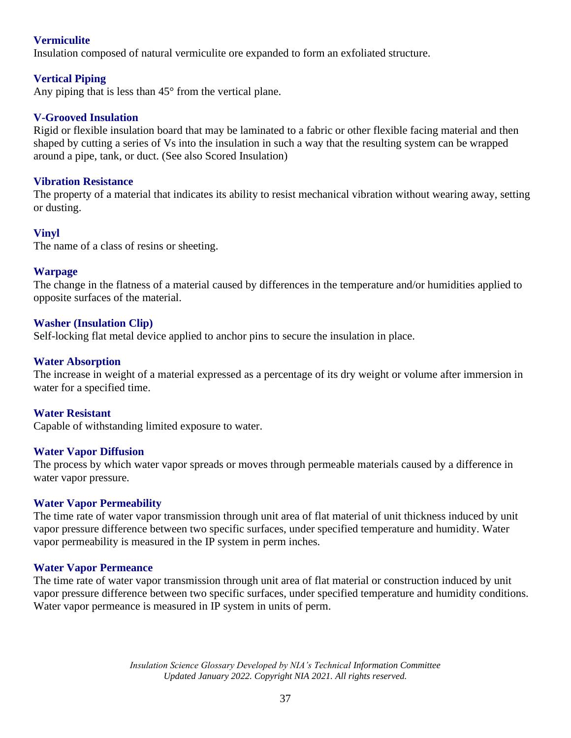## **Vermiculite**

Insulation composed of natural vermiculite ore expanded to form an exfoliated structure.

## **Vertical Piping**

Any piping that is less than 45° from the vertical plane.

### **V-Grooved Insulation**

Rigid or flexible insulation board that may be laminated to a fabric or other flexible facing material and then shaped by cutting a series of Vs into the insulation in such a way that the resulting system can be wrapped around a pipe, tank, or duct. (See also Scored Insulation)

### **Vibration Resistance**

The property of a material that indicates its ability to resist mechanical vibration without wearing away, setting or dusting.

### **Vinyl**

The name of a class of resins or sheeting.

### **Warpage**

The change in the flatness of a material caused by differences in the temperature and/or humidities applied to opposite surfaces of the material.

### **Washer (Insulation Clip)**

Self-locking flat metal device applied to anchor pins to secure the insulation in place.

### **Water Absorption**

The increase in weight of a material expressed as a percentage of its dry weight or volume after immersion in water for a specified time.

### **Water Resistant**

Capable of withstanding limited exposure to water.

### **Water Vapor Diffusion**

The process by which water vapor spreads or moves through permeable materials caused by a difference in water vapor pressure.

### **Water Vapor Permeability**

The time rate of water vapor transmission through unit area of flat material of unit thickness induced by unit vapor pressure difference between two specific surfaces, under specified temperature and humidity. Water vapor permeability is measured in the IP system in perm inches.

### **Water Vapor Permeance**

The time rate of water vapor transmission through unit area of flat material or construction induced by unit vapor pressure difference between two specific surfaces, under specified temperature and humidity conditions. Water vapor permeance is measured in IP system in units of perm.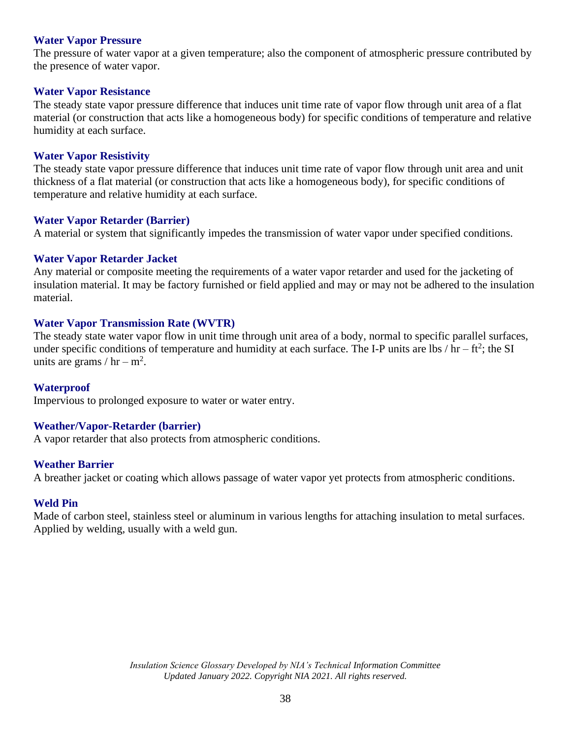### **Water Vapor Pressure**

The pressure of water vapor at a given temperature; also the component of atmospheric pressure contributed by the presence of water vapor.

#### **Water Vapor Resistance**

The steady state vapor pressure difference that induces unit time rate of vapor flow through unit area of a flat material (or construction that acts like a homogeneous body) for specific conditions of temperature and relative humidity at each surface.

#### **Water Vapor Resistivity**

The steady state vapor pressure difference that induces unit time rate of vapor flow through unit area and unit thickness of a flat material (or construction that acts like a homogeneous body), for specific conditions of temperature and relative humidity at each surface.

#### **Water Vapor Retarder (Barrier)**

A material or system that significantly impedes the transmission of water vapor under specified conditions.

#### **Water Vapor Retarder Jacket**

Any material or composite meeting the requirements of a water vapor retarder and used for the jacketing of insulation material. It may be factory furnished or field applied and may or may not be adhered to the insulation material.

### **Water Vapor Transmission Rate (WVTR)**

The steady state water vapor flow in unit time through unit area of a body, normal to specific parallel surfaces, under specific conditions of temperature and humidity at each surface. The I-P units are lbs / hr – ft<sup>2</sup>; the SI units are grams /  $hr - m^2$ .

#### **Waterproof**

Impervious to prolonged exposure to water or water entry.

#### **Weather/Vapor-Retarder (barrier)**

A vapor retarder that also protects from atmospheric conditions.

#### **Weather Barrier**

A breather jacket or coating which allows passage of water vapor yet protects from atmospheric conditions.

#### **Weld Pin**

Made of carbon steel, stainless steel or aluminum in various lengths for attaching insulation to metal surfaces. Applied by welding, usually with a weld gun.